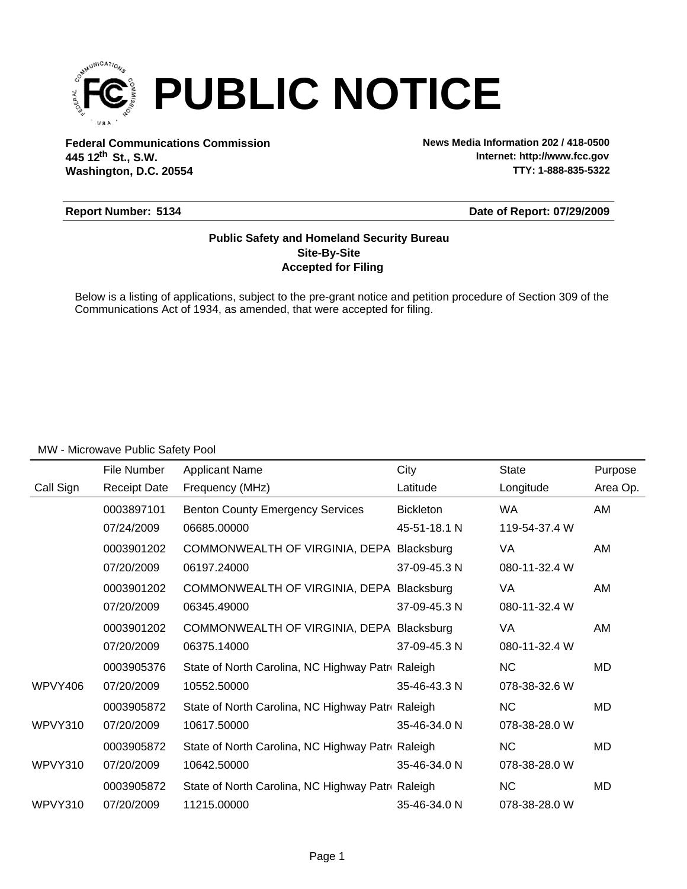

**Federal Communications Commission News Media Information 202 / 418-0500 Washington, D.C. 20554 th 445 12 St., S.W.**

**Internet: http://www.fcc.gov TTY: 1-888-835-5322**

#### **Report Number: 5134**

**Date of Report: 07/29/2009**

### **Accepted for Filing Site-By-Site Public Safety and Homeland Security Bureau**

Below is a listing of applications, subject to the pre-grant notice and petition procedure of Section 309 of the Communications Act of 1934, as amended, that were accepted for filing.

|                | File Number         | <b>Applicant Name</b>                             | City             | <b>State</b>  | Purpose  |
|----------------|---------------------|---------------------------------------------------|------------------|---------------|----------|
| Call Sign      | <b>Receipt Date</b> | Frequency (MHz)                                   | Latitude         | Longitude     | Area Op. |
|                | 0003897101          | <b>Benton County Emergency Services</b>           | <b>Bickleton</b> | <b>WA</b>     | AM       |
|                | 07/24/2009          | 06685.00000                                       | 45-51-18.1 N     | 119-54-37.4 W |          |
|                | 0003901202          | COMMONWEALTH OF VIRGINIA, DEPA Blacksburg         |                  | VA            | AM       |
|                | 07/20/2009          | 06197.24000                                       | 37-09-45.3 N     | 080-11-32.4 W |          |
|                | 0003901202          | COMMONWEALTH OF VIRGINIA, DEPA Blacksburg         |                  | VA.           | AM       |
|                | 07/20/2009          | 06345.49000                                       | 37-09-45.3 N     | 080-11-32.4 W |          |
|                | 0003901202          | COMMONWEALTH OF VIRGINIA, DEPA Blacksburg         |                  | VA            | AM       |
|                | 07/20/2009          | 06375.14000                                       | 37-09-45.3 N     | 080-11-32.4 W |          |
|                | 0003905376          | State of North Carolina, NC Highway Patre Raleigh |                  | <b>NC</b>     | MD       |
| <b>WPVY406</b> | 07/20/2009          | 10552.50000                                       | 35-46-43.3 N     | 078-38-32.6 W |          |
|                | 0003905872          | State of North Carolina, NC Highway Patre Raleigh |                  | <b>NC</b>     | MD       |
| WPVY310        | 07/20/2009          | 10617.50000                                       | 35-46-34.0 N     | 078-38-28.0 W |          |
|                | 0003905872          | State of North Carolina, NC Highway Patre Raleigh |                  | <b>NC</b>     | MD       |
| WPVY310        | 07/20/2009          | 10642.50000                                       | 35-46-34.0 N     | 078-38-28.0 W |          |
|                | 0003905872          | State of North Carolina, NC Highway Patre Raleigh |                  | <b>NC</b>     | MD       |
| WPVY310        | 07/20/2009          | 11215.00000                                       | 35-46-34.0 N     | 078-38-28.0 W |          |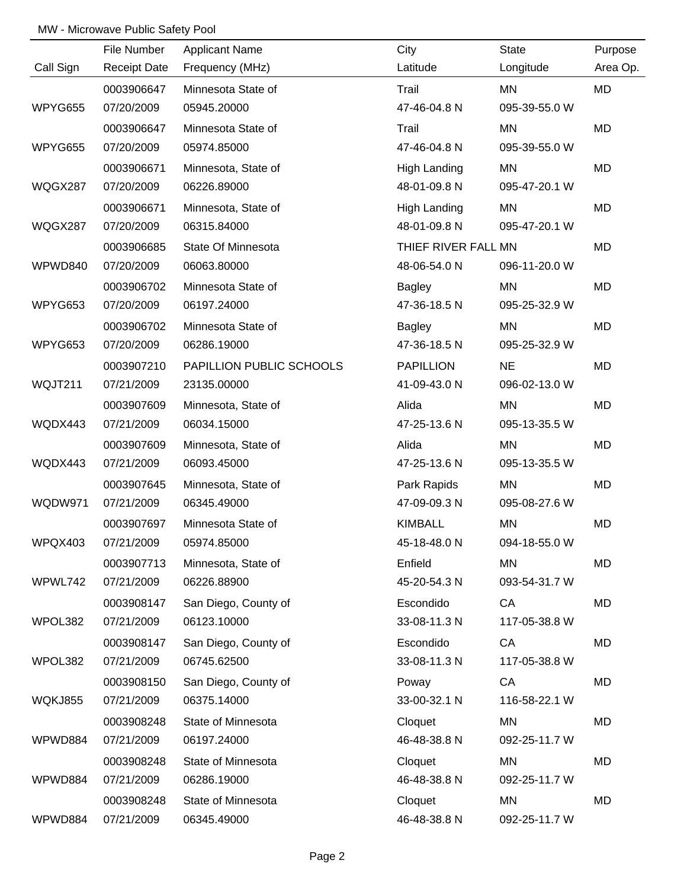|                | File Number         | <b>Applicant Name</b>    | City                | <b>State</b>  | Purpose   |
|----------------|---------------------|--------------------------|---------------------|---------------|-----------|
| Call Sign      | <b>Receipt Date</b> | Frequency (MHz)          | Latitude            | Longitude     | Area Op.  |
|                | 0003906647          | Minnesota State of       | Trail               | MN            | MD        |
| WPYG655        | 07/20/2009          | 05945.20000              | 47-46-04.8 N        | 095-39-55.0 W |           |
|                | 0003906647          | Minnesota State of       | Trail               | MN            | <b>MD</b> |
| WPYG655        | 07/20/2009          | 05974.85000              | 47-46-04.8 N        | 095-39-55.0 W |           |
|                | 0003906671          | Minnesota, State of      | <b>High Landing</b> | MN            | <b>MD</b> |
| WQGX287        | 07/20/2009          | 06226.89000              | 48-01-09.8 N        | 095-47-20.1 W |           |
|                | 0003906671          | Minnesota, State of      | High Landing        | MN            | MD        |
| WQGX287        | 07/20/2009          | 06315.84000              | 48-01-09.8 N        | 095-47-20.1 W |           |
|                | 0003906685          | State Of Minnesota       | THIEF RIVER FALL MN |               | MD        |
| WPWD840        | 07/20/2009          | 06063.80000              | 48-06-54.0 N        | 096-11-20.0 W |           |
|                | 0003906702          | Minnesota State of       | <b>Bagley</b>       | MN            | MD        |
| WPYG653        | 07/20/2009          | 06197.24000              | 47-36-18.5 N        | 095-25-32.9 W |           |
|                | 0003906702          | Minnesota State of       | <b>Bagley</b>       | MN            | MD        |
| WPYG653        | 07/20/2009          | 06286.19000              | 47-36-18.5 N        | 095-25-32.9 W |           |
|                | 0003907210          | PAPILLION PUBLIC SCHOOLS | <b>PAPILLION</b>    | <b>NE</b>     | MD        |
| WQJT211        | 07/21/2009          | 23135.00000              | 41-09-43.0 N        | 096-02-13.0 W |           |
|                | 0003907609          | Minnesota, State of      | Alida               | MN            | MD        |
| WQDX443        | 07/21/2009          | 06034.15000              | 47-25-13.6 N        | 095-13-35.5 W |           |
|                | 0003907609          | Minnesota, State of      | Alida               | MN            | MD        |
| WQDX443        | 07/21/2009          | 06093.45000              | 47-25-13.6 N        | 095-13-35.5 W |           |
|                | 0003907645          | Minnesota, State of      | Park Rapids         | MN            | MD        |
| WQDW971        | 07/21/2009          | 06345.49000              | 47-09-09.3 N        | 095-08-27.6 W |           |
|                | 0003907697          | Minnesota State of       | <b>KIMBALL</b>      | MN            | MD        |
| WPQX403        | 07/21/2009          | 05974.85000              | 45-18-48.0 N        | 094-18-55.0 W |           |
|                | 0003907713          | Minnesota, State of      | Enfield             | <b>MN</b>     | MD        |
| WPWL742        | 07/21/2009          | 06226.88900              | 45-20-54.3 N        | 093-54-31.7 W |           |
|                | 0003908147          | San Diego, County of     | Escondido           | CA            | MD        |
| WPOL382        | 07/21/2009          | 06123.10000              | 33-08-11.3 N        | 117-05-38.8 W |           |
|                | 0003908147          | San Diego, County of     | Escondido           | CA            | MD        |
| WPOL382        | 07/21/2009          | 06745.62500              | 33-08-11.3 N        | 117-05-38.8 W |           |
|                | 0003908150          | San Diego, County of     | Poway               | CA            | MD        |
| <b>WQKJ855</b> | 07/21/2009          | 06375.14000              | 33-00-32.1 N        | 116-58-22.1 W |           |
|                | 0003908248          | State of Minnesota       | Cloquet             | MN            | MD        |
| WPWD884        | 07/21/2009          | 06197.24000              | 46-48-38.8 N        | 092-25-11.7 W |           |
|                | 0003908248          | State of Minnesota       | Cloquet             | MN            | MD        |
| WPWD884        | 07/21/2009          | 06286.19000              | 46-48-38.8 N        | 092-25-11.7 W |           |
|                | 0003908248          | State of Minnesota       | Cloquet             | MN            | MD        |
| WPWD884        | 07/21/2009          | 06345.49000              | 46-48-38.8 N        | 092-25-11.7 W |           |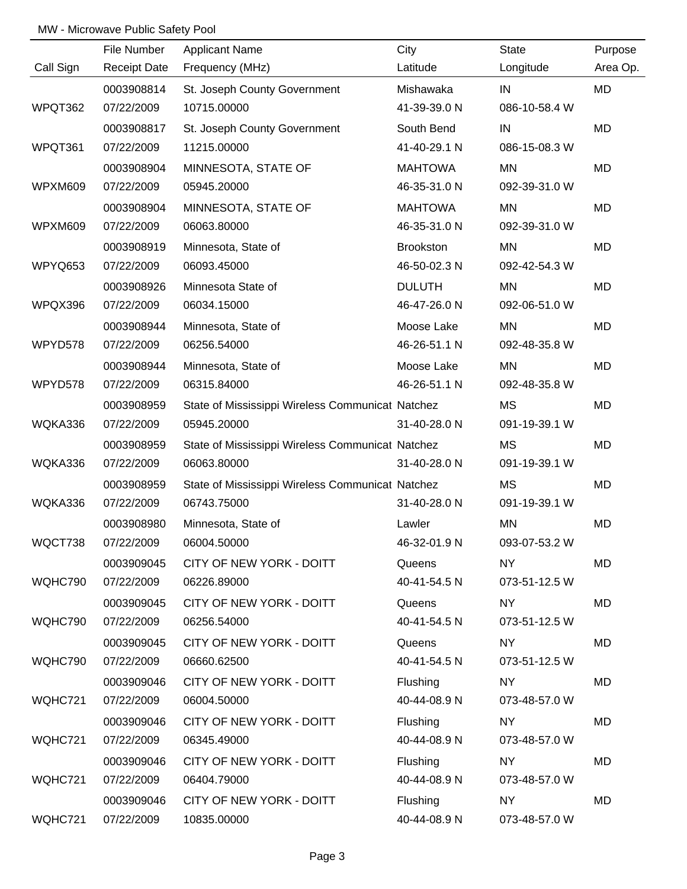|           | File Number         | <b>Applicant Name</b>                            | City             | <b>State</b>  | Purpose  |
|-----------|---------------------|--------------------------------------------------|------------------|---------------|----------|
| Call Sign | <b>Receipt Date</b> | Frequency (MHz)                                  | Latitude         | Longitude     | Area Op. |
|           | 0003908814          | St. Joseph County Government                     | Mishawaka        | IN            | MD       |
| WPQT362   | 07/22/2009          | 10715.00000                                      | 41-39-39.0 N     | 086-10-58.4 W |          |
|           | 0003908817          | St. Joseph County Government                     | South Bend       | IN            | MD       |
| WPQT361   | 07/22/2009          | 11215.00000                                      | 41-40-29.1 N     | 086-15-08.3 W |          |
|           | 0003908904          | MINNESOTA, STATE OF                              | <b>MAHTOWA</b>   | MN            | MD       |
| WPXM609   | 07/22/2009          | 05945.20000                                      | 46-35-31.0 N     | 092-39-31.0 W |          |
|           | 0003908904          | MINNESOTA, STATE OF                              | <b>MAHTOWA</b>   | MN            | MD       |
| WPXM609   | 07/22/2009          | 06063.80000                                      | 46-35-31.0 N     | 092-39-31.0 W |          |
|           | 0003908919          | Minnesota, State of                              | <b>Brookston</b> | MN            | MD       |
| WPYQ653   | 07/22/2009          | 06093.45000                                      | 46-50-02.3 N     | 092-42-54.3 W |          |
|           | 0003908926          | Minnesota State of                               | <b>DULUTH</b>    | MN            | MD       |
| WPQX396   | 07/22/2009          | 06034.15000                                      | 46-47-26.0 N     | 092-06-51.0 W |          |
|           | 0003908944          | Minnesota, State of                              | Moose Lake       | <b>MN</b>     | MD       |
| WPYD578   | 07/22/2009          | 06256.54000                                      | 46-26-51.1 N     | 092-48-35.8 W |          |
|           | 0003908944          | Minnesota, State of                              | Moose Lake       | <b>MN</b>     | MD       |
| WPYD578   | 07/22/2009          | 06315.84000                                      | 46-26-51.1 N     | 092-48-35.8 W |          |
|           | 0003908959          | State of Mississippi Wireless Communicat Natchez |                  | <b>MS</b>     | MD       |
| WQKA336   | 07/22/2009          | 05945.20000                                      | 31-40-28.0 N     | 091-19-39.1 W |          |
|           | 0003908959          | State of Mississippi Wireless Communicat Natchez |                  | <b>MS</b>     | MD       |
| WQKA336   | 07/22/2009          | 06063.80000                                      | 31-40-28.0 N     | 091-19-39.1 W |          |
|           | 0003908959          | State of Mississippi Wireless Communicat Natchez |                  | <b>MS</b>     | MD       |
| WQKA336   | 07/22/2009          | 06743.75000                                      | 31-40-28.0 N     | 091-19-39.1 W |          |
|           | 0003908980          | Minnesota, State of                              | Lawler           | <b>MN</b>     | MD       |
| WQCT738   | 07/22/2009          | 06004.50000                                      | 46-32-01.9 N     | 093-07-53.2 W |          |
|           | 0003909045          | CITY OF NEW YORK - DOITT                         | Queens           | <b>NY</b>     | MD       |
| WQHC790   | 07/22/2009          | 06226.89000                                      | 40-41-54.5 N     | 073-51-12.5 W |          |
|           | 0003909045          | CITY OF NEW YORK - DOITT                         | Queens           | NY            | MD       |
| WQHC790   | 07/22/2009          | 06256.54000                                      | 40-41-54.5 N     | 073-51-12.5 W |          |
|           | 0003909045          | CITY OF NEW YORK - DOITT                         | Queens           | NY.           | MD       |
| WQHC790   | 07/22/2009          | 06660.62500                                      | 40-41-54.5 N     | 073-51-12.5 W |          |
|           | 0003909046          | CITY OF NEW YORK - DOITT                         | Flushing         | <b>NY</b>     | MD       |
| WQHC721   | 07/22/2009          | 06004.50000                                      | 40-44-08.9 N     | 073-48-57.0 W |          |
|           | 0003909046          | CITY OF NEW YORK - DOITT                         | Flushing         | NY            | MD       |
| WQHC721   | 07/22/2009          | 06345.49000                                      | 40-44-08.9 N     | 073-48-57.0 W |          |
|           | 0003909046          | CITY OF NEW YORK - DOITT                         | Flushing         | <b>NY</b>     | MD       |
| WQHC721   | 07/22/2009          | 06404.79000                                      | 40-44-08.9 N     | 073-48-57.0 W |          |
|           | 0003909046          | CITY OF NEW YORK - DOITT                         | Flushing         | NY            | MD       |
| WQHC721   | 07/22/2009          | 10835.00000                                      | 40-44-08.9 N     | 073-48-57.0 W |          |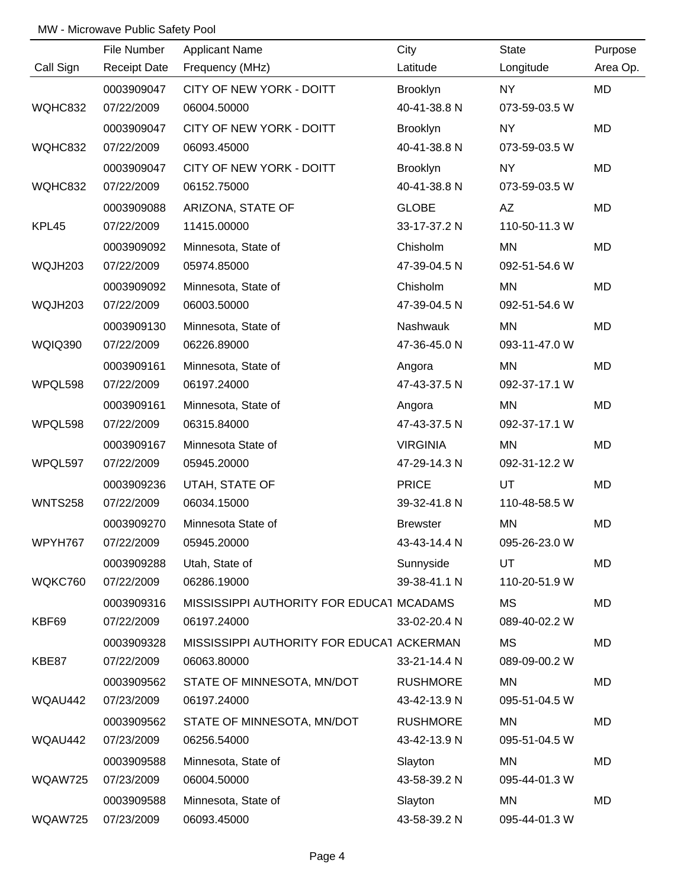|                | File Number         | <b>Applicant Name</b>                     | City            | State         | Purpose  |
|----------------|---------------------|-------------------------------------------|-----------------|---------------|----------|
| Call Sign      | <b>Receipt Date</b> | Frequency (MHz)                           | Latitude        | Longitude     | Area Op. |
|                | 0003909047          | CITY OF NEW YORK - DOITT                  | Brooklyn        | <b>NY</b>     | MD       |
| WQHC832        | 07/22/2009          | 06004.50000                               | 40-41-38.8 N    | 073-59-03.5 W |          |
|                | 0003909047          | CITY OF NEW YORK - DOITT                  | Brooklyn        | <b>NY</b>     | MD       |
| WQHC832        | 07/22/2009          | 06093.45000                               | 40-41-38.8 N    | 073-59-03.5 W |          |
|                | 0003909047          | CITY OF NEW YORK - DOITT                  | <b>Brooklyn</b> | <b>NY</b>     | MD       |
| WQHC832        | 07/22/2009          | 06152.75000                               | 40-41-38.8 N    | 073-59-03.5 W |          |
|                | 0003909088          | ARIZONA, STATE OF                         | <b>GLOBE</b>    | AZ            | MD       |
| KPL45          | 07/22/2009          | 11415.00000                               | 33-17-37.2 N    | 110-50-11.3 W |          |
|                | 0003909092          | Minnesota, State of                       | Chisholm        | MN            | MD       |
| WQJH203        | 07/22/2009          | 05974.85000                               | 47-39-04.5 N    | 092-51-54.6 W |          |
|                | 0003909092          | Minnesota, State of                       | Chisholm        | MN            | MD       |
| WQJH203        | 07/22/2009          | 06003.50000                               | 47-39-04.5 N    | 092-51-54.6 W |          |
|                | 0003909130          | Minnesota, State of                       | Nashwauk        | <b>MN</b>     | MD       |
| <b>WQIQ390</b> | 07/22/2009          | 06226.89000                               | 47-36-45.0 N    | 093-11-47.0 W |          |
|                | 0003909161          | Minnesota, State of                       | Angora          | ΜN            | MD       |
| WPQL598        | 07/22/2009          | 06197.24000                               | 47-43-37.5 N    | 092-37-17.1 W |          |
|                | 0003909161          | Minnesota, State of                       | Angora          | <b>MN</b>     | MD       |
| WPQL598        | 07/22/2009          | 06315.84000                               | 47-43-37.5 N    | 092-37-17.1 W |          |
|                | 0003909167          | Minnesota State of                        | <b>VIRGINIA</b> | MN            | MD       |
| WPQL597        | 07/22/2009          | 05945.20000                               | 47-29-14.3 N    | 092-31-12.2 W |          |
|                | 0003909236          | UTAH, STATE OF                            | <b>PRICE</b>    | UT            | MD       |
| <b>WNTS258</b> | 07/22/2009          | 06034.15000                               | 39-32-41.8 N    | 110-48-58.5 W |          |
|                | 0003909270          | Minnesota State of                        | <b>Brewster</b> | MN            | MD       |
| WPYH767        | 07/22/2009          | 05945.20000                               | 43-43-14.4 N    | 095-26-23.0 W |          |
|                | 0003909288          | Utah, State of                            | Sunnyside       | UT            | MD       |
| WQKC760        | 07/22/2009          | 06286.19000                               | 39-38-41.1 N    | 110-20-51.9 W |          |
|                | 0003909316          | MISSISSIPPI AUTHORITY FOR EDUCAT MCADAMS  |                 | MS            | MD       |
| KBF69          | 07/22/2009          | 06197.24000                               | 33-02-20.4 N    | 089-40-02.2 W |          |
|                | 0003909328          | MISSISSIPPI AUTHORITY FOR EDUCAT ACKERMAN |                 | <b>MS</b>     | MD       |
| KBE87          | 07/22/2009          | 06063.80000                               | 33-21-14.4 N    | 089-09-00.2 W |          |
|                | 0003909562          | STATE OF MINNESOTA, MN/DOT                | <b>RUSHMORE</b> | MN            | MD       |
| WQAU442        | 07/23/2009          | 06197.24000                               | 43-42-13.9 N    | 095-51-04.5 W |          |
|                | 0003909562          | STATE OF MINNESOTA, MN/DOT                | <b>RUSHMORE</b> | <b>MN</b>     | MD       |
| WQAU442        | 07/23/2009          | 06256.54000                               | 43-42-13.9 N    | 095-51-04.5 W |          |
|                | 0003909588          | Minnesota, State of                       | Slayton         | MN            | MD       |
| WQAW725        | 07/23/2009          | 06004.50000                               | 43-58-39.2 N    | 095-44-01.3 W |          |
|                | 0003909588          | Minnesota, State of                       | Slayton         | MN            | MD       |
| WQAW725        | 07/23/2009          | 06093.45000                               | 43-58-39.2 N    | 095-44-01.3 W |          |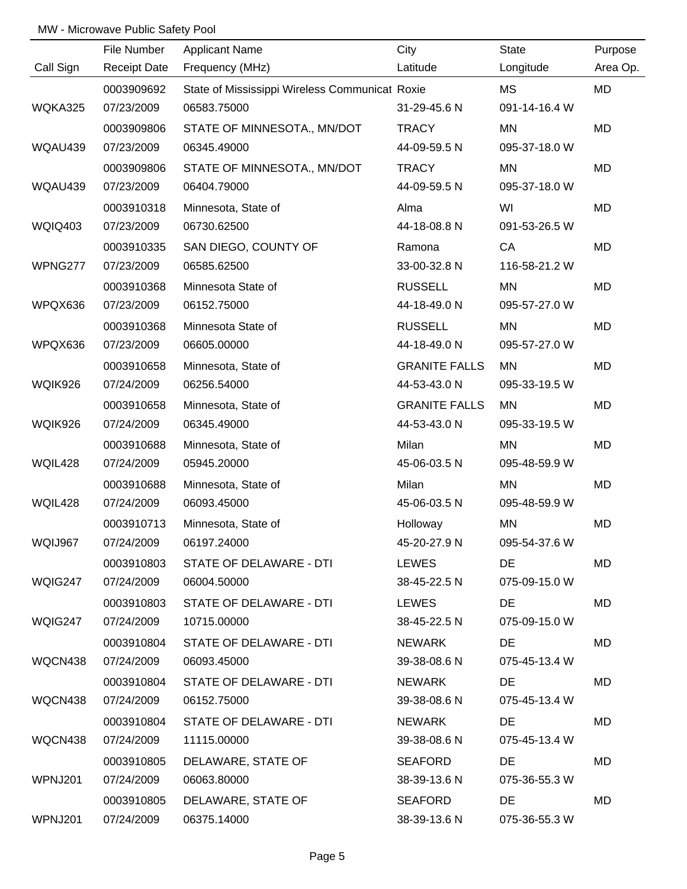|                | File Number         | <b>Applicant Name</b>                          | City                 | State         | Purpose  |
|----------------|---------------------|------------------------------------------------|----------------------|---------------|----------|
| Call Sign      | <b>Receipt Date</b> | Frequency (MHz)                                | Latitude             | Longitude     | Area Op. |
|                | 0003909692          | State of Mississippi Wireless Communicat Roxie |                      | MS            | MD       |
| WQKA325        | 07/23/2009          | 06583.75000                                    | 31-29-45.6 N         | 091-14-16.4 W |          |
|                | 0003909806          | STATE OF MINNESOTA., MN/DOT                    | <b>TRACY</b>         | MN            | MD       |
| WQAU439        | 07/23/2009          | 06345.49000                                    | 44-09-59.5 N         | 095-37-18.0 W |          |
|                | 0003909806          | STATE OF MINNESOTA., MN/DOT                    | <b>TRACY</b>         | MN            | MD       |
| WQAU439        | 07/23/2009          | 06404.79000                                    | 44-09-59.5 N         | 095-37-18.0 W |          |
|                | 0003910318          | Minnesota, State of                            | Alma                 | WI            | MD       |
| <b>WQIQ403</b> | 07/23/2009          | 06730.62500                                    | 44-18-08.8 N         | 091-53-26.5 W |          |
|                | 0003910335          | SAN DIEGO, COUNTY OF                           | Ramona               | CA            | MD       |
| WPNG277        | 07/23/2009          | 06585.62500                                    | 33-00-32.8 N         | 116-58-21.2 W |          |
|                | 0003910368          | Minnesota State of                             | <b>RUSSELL</b>       | MN            | MD       |
| WPQX636        | 07/23/2009          | 06152.75000                                    | 44-18-49.0 N         | 095-57-27.0 W |          |
|                | 0003910368          | Minnesota State of                             | <b>RUSSELL</b>       | MN            | MD       |
| WPQX636        | 07/23/2009          | 06605.00000                                    | 44-18-49.0 N         | 095-57-27.0 W |          |
|                | 0003910658          | Minnesota, State of                            | <b>GRANITE FALLS</b> | <b>MN</b>     | MD       |
| WQIK926        | 07/24/2009          | 06256.54000                                    | 44-53-43.0 N         | 095-33-19.5 W |          |
|                | 0003910658          | Minnesota, State of                            | <b>GRANITE FALLS</b> | MN            | MD       |
| WQIK926        | 07/24/2009          | 06345.49000                                    | 44-53-43.0 N         | 095-33-19.5 W |          |
|                | 0003910688          | Minnesota, State of                            | Milan                | MN            | MD       |
| WQIL428        | 07/24/2009          | 05945.20000                                    | 45-06-03.5 N         | 095-48-59.9 W |          |
|                | 0003910688          | Minnesota, State of                            | Milan                | MN            | MD       |
| WQIL428        | 07/24/2009          | 06093.45000                                    | 45-06-03.5 N         | 095-48-59.9 W |          |
|                | 0003910713          | Minnesota, State of                            | Holloway             | <b>MN</b>     | MD       |
| WQIJ967        | 07/24/2009          | 06197.24000                                    | 45-20-27.9 N         | 095-54-37.6 W |          |
|                | 0003910803          | STATE OF DELAWARE - DTI                        | <b>LEWES</b>         | <b>DE</b>     | MD       |
| WQIG247        | 07/24/2009          | 06004.50000                                    | 38-45-22.5 N         | 075-09-15.0 W |          |
|                | 0003910803          | STATE OF DELAWARE - DTI                        | LEWES                | DE            | MD       |
| WQIG247        | 07/24/2009          | 10715.00000                                    | 38-45-22.5 N         | 075-09-15.0 W |          |
|                | 0003910804          | STATE OF DELAWARE - DTI                        | <b>NEWARK</b>        | <b>DE</b>     | MD       |
| WQCN438        | 07/24/2009          | 06093.45000                                    | 39-38-08.6 N         | 075-45-13.4 W |          |
|                | 0003910804          | STATE OF DELAWARE - DTI                        | <b>NEWARK</b>        | DE            | MD       |
| WQCN438        | 07/24/2009          | 06152.75000                                    | 39-38-08.6 N         | 075-45-13.4 W |          |
|                | 0003910804          | STATE OF DELAWARE - DTI                        | <b>NEWARK</b>        | <b>DE</b>     | MD       |
| WQCN438        | 07/24/2009          | 11115.00000                                    | 39-38-08.6 N         | 075-45-13.4 W |          |
|                | 0003910805          | DELAWARE, STATE OF                             | <b>SEAFORD</b>       | DE            | MD       |
| WPNJ201        | 07/24/2009          | 06063.80000                                    | 38-39-13.6 N         | 075-36-55.3 W |          |
|                | 0003910805          | DELAWARE, STATE OF                             | <b>SEAFORD</b>       | DE            | MD       |
| WPNJ201        | 07/24/2009          | 06375.14000                                    | 38-39-13.6 N         | 075-36-55.3 W |          |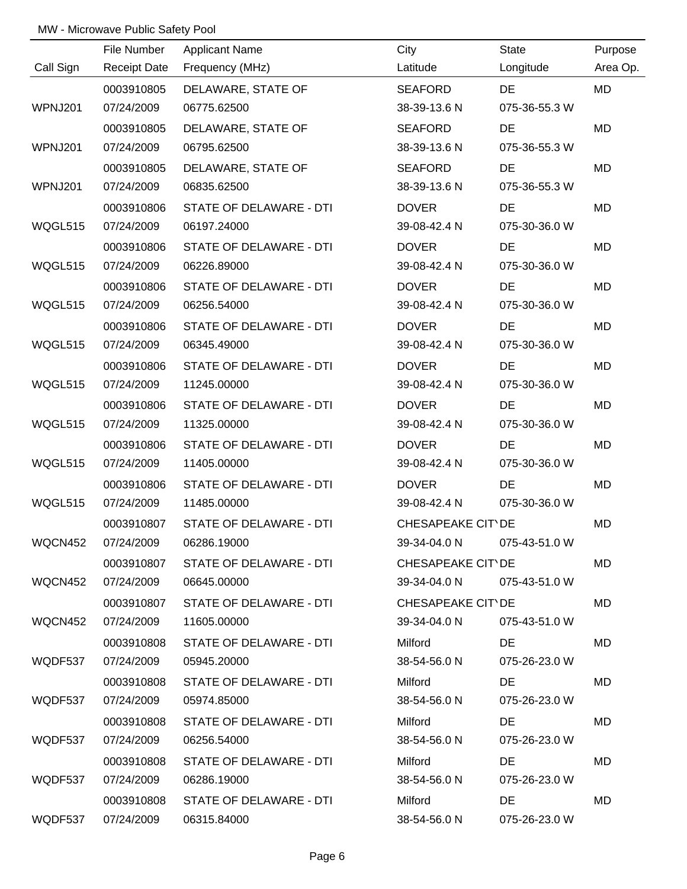|           | File Number         | <b>Applicant Name</b>   | City              | State         | Purpose   |
|-----------|---------------------|-------------------------|-------------------|---------------|-----------|
| Call Sign | <b>Receipt Date</b> | Frequency (MHz)         | Latitude          | Longitude     | Area Op.  |
|           | 0003910805          | DELAWARE, STATE OF      | <b>SEAFORD</b>    | <b>DE</b>     | <b>MD</b> |
| WPNJ201   | 07/24/2009          | 06775.62500             | 38-39-13.6 N      | 075-36-55.3 W |           |
|           | 0003910805          | DELAWARE, STATE OF      | <b>SEAFORD</b>    | <b>DE</b>     | <b>MD</b> |
| WPNJ201   | 07/24/2009          | 06795.62500             | 38-39-13.6 N      | 075-36-55.3 W |           |
|           | 0003910805          | DELAWARE, STATE OF      | <b>SEAFORD</b>    | <b>DE</b>     | MD        |
| WPNJ201   | 07/24/2009          | 06835.62500             | 38-39-13.6 N      | 075-36-55.3 W |           |
|           | 0003910806          | STATE OF DELAWARE - DTI | <b>DOVER</b>      | DE            | <b>MD</b> |
| WQGL515   | 07/24/2009          | 06197.24000             | 39-08-42.4 N      | 075-30-36.0 W |           |
|           | 0003910806          | STATE OF DELAWARE - DTI | <b>DOVER</b>      | <b>DE</b>     | MD        |
| WQGL515   | 07/24/2009          | 06226.89000             | 39-08-42.4 N      | 075-30-36.0 W |           |
|           | 0003910806          | STATE OF DELAWARE - DTI | <b>DOVER</b>      | DE            | <b>MD</b> |
| WQGL515   | 07/24/2009          | 06256.54000             | 39-08-42.4 N      | 075-30-36.0 W |           |
|           | 0003910806          | STATE OF DELAWARE - DTI | <b>DOVER</b>      | <b>DE</b>     | MD        |
| WQGL515   | 07/24/2009          | 06345.49000             | 39-08-42.4 N      | 075-30-36.0 W |           |
|           | 0003910806          | STATE OF DELAWARE - DTI | <b>DOVER</b>      | DE            | <b>MD</b> |
| WQGL515   | 07/24/2009          | 11245.00000             | 39-08-42.4 N      | 075-30-36.0 W |           |
|           | 0003910806          | STATE OF DELAWARE - DTI | <b>DOVER</b>      | <b>DE</b>     | <b>MD</b> |
| WQGL515   | 07/24/2009          | 11325.00000             | 39-08-42.4 N      | 075-30-36.0 W |           |
|           | 0003910806          | STATE OF DELAWARE - DTI | <b>DOVER</b>      | DE            | <b>MD</b> |
| WQGL515   | 07/24/2009          | 11405.00000             | 39-08-42.4 N      | 075-30-36.0 W |           |
|           | 0003910806          | STATE OF DELAWARE - DTI | <b>DOVER</b>      | DE            | <b>MD</b> |
| WQGL515   | 07/24/2009          | 11485.00000             | 39-08-42.4 N      | 075-30-36.0 W |           |
|           | 0003910807          | STATE OF DELAWARE - DTI | CHESAPEAKE CIT DE |               | <b>MD</b> |
| WQCN452   | 07/24/2009          | 06286.19000             | 39-34-04.0 N      | 075-43-51.0 W |           |
|           | 0003910807          | STATE OF DELAWARE - DTI | CHESAPEAKE CIT'DE |               | MD        |
| WQCN452   | 07/24/2009          | 06645.00000             | 39-34-04.0 N      | 075-43-51.0 W |           |
|           | 0003910807          | STATE OF DELAWARE - DTI | CHESAPEAKE CIT DE |               | MD        |
| WQCN452   | 07/24/2009          | 11605.00000             | 39-34-04.0 N      | 075-43-51.0 W |           |
|           | 0003910808          | STATE OF DELAWARE - DTI | Milford           | DE            | MD        |
| WQDF537   | 07/24/2009          | 05945.20000             | 38-54-56.0 N      | 075-26-23.0 W |           |
|           | 0003910808          | STATE OF DELAWARE - DTI | Milford           | DE            | MD        |
| WQDF537   | 07/24/2009          | 05974.85000             | 38-54-56.0 N      | 075-26-23.0 W |           |
|           | 0003910808          | STATE OF DELAWARE - DTI | Milford           | DE            | <b>MD</b> |
| WQDF537   | 07/24/2009          | 06256.54000             | 38-54-56.0 N      | 075-26-23.0 W |           |
|           | 0003910808          | STATE OF DELAWARE - DTI | Milford           | DE            | MD        |
| WQDF537   | 07/24/2009          | 06286.19000             | 38-54-56.0 N      | 075-26-23.0 W |           |
|           | 0003910808          | STATE OF DELAWARE - DTI | Milford           | DE            | <b>MD</b> |
| WQDF537   | 07/24/2009          | 06315.84000             | 38-54-56.0 N      | 075-26-23.0 W |           |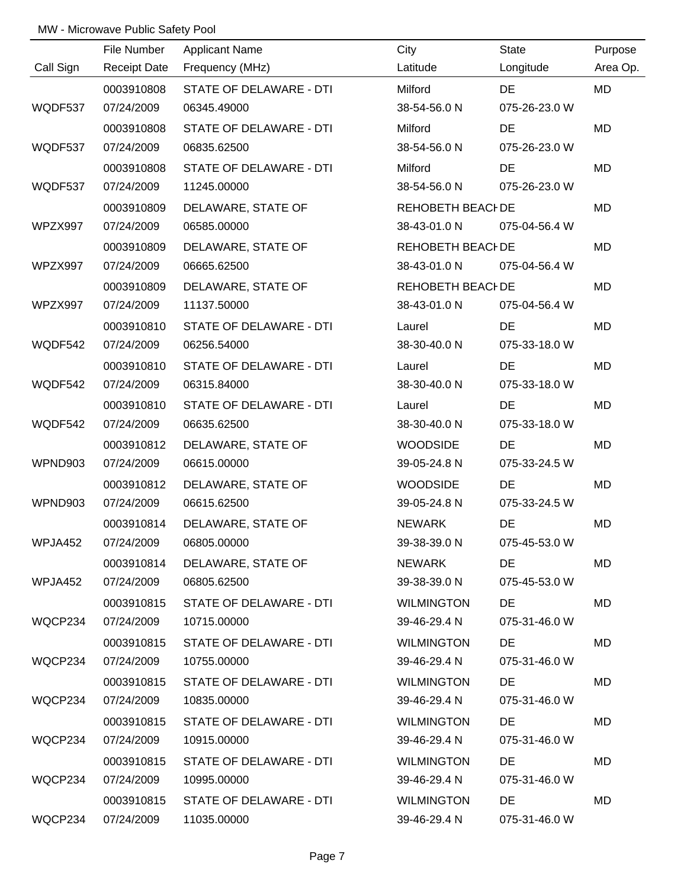|           | File Number         | <b>Applicant Name</b>   | City              | <b>State</b>  | Purpose   |
|-----------|---------------------|-------------------------|-------------------|---------------|-----------|
| Call Sign | <b>Receipt Date</b> | Frequency (MHz)         | Latitude          | Longitude     | Area Op.  |
|           | 0003910808          | STATE OF DELAWARE - DTI | Milford           | DE            | <b>MD</b> |
| WQDF537   | 07/24/2009          | 06345.49000             | 38-54-56.0 N      | 075-26-23.0 W |           |
|           | 0003910808          | STATE OF DELAWARE - DTI | Milford           | DE            | <b>MD</b> |
| WQDF537   | 07/24/2009          | 06835.62500             | 38-54-56.0 N      | 075-26-23.0 W |           |
|           | 0003910808          | STATE OF DELAWARE - DTI | Milford           | DE            | <b>MD</b> |
| WQDF537   | 07/24/2009          | 11245.00000             | 38-54-56.0 N      | 075-26-23.0 W |           |
|           | 0003910809          | DELAWARE, STATE OF      | REHOBETH BEACI DE |               | MD        |
| WPZX997   | 07/24/2009          | 06585.00000             | 38-43-01.0 N      | 075-04-56.4 W |           |
|           | 0003910809          | DELAWARE, STATE OF      | REHOBETH BEACI DE |               | MD        |
| WPZX997   | 07/24/2009          | 06665.62500             | 38-43-01.0 N      | 075-04-56.4 W |           |
|           | 0003910809          | DELAWARE, STATE OF      | REHOBETH BEACI DE |               | MD        |
| WPZX997   | 07/24/2009          | 11137.50000             | 38-43-01.0 N      | 075-04-56.4 W |           |
|           | 0003910810          | STATE OF DELAWARE - DTI | Laurel            | DE            | MD        |
| WQDF542   | 07/24/2009          | 06256.54000             | 38-30-40.0 N      | 075-33-18.0 W |           |
|           | 0003910810          | STATE OF DELAWARE - DTI | Laurel            | DE            | MD        |
| WQDF542   | 07/24/2009          | 06315.84000             | 38-30-40.0 N      | 075-33-18.0 W |           |
|           | 0003910810          | STATE OF DELAWARE - DTI | Laurel            | DE            | MD        |
| WQDF542   | 07/24/2009          | 06635.62500             | 38-30-40.0 N      | 075-33-18.0 W |           |
|           | 0003910812          | DELAWARE, STATE OF      | <b>WOODSIDE</b>   | DE            | MD        |
| WPND903   | 07/24/2009          | 06615.00000             | 39-05-24.8 N      | 075-33-24.5 W |           |
|           | 0003910812          | DELAWARE, STATE OF      | <b>WOODSIDE</b>   | <b>DE</b>     | MD        |
| WPND903   | 07/24/2009          | 06615.62500             | 39-05-24.8 N      | 075-33-24.5 W |           |
|           | 0003910814          | DELAWARE, STATE OF      | <b>NEWARK</b>     | DE            | MD        |
| WPJA452   | 07/24/2009          | 06805.00000             | 39-38-39.0 N      | 075-45-53.0 W |           |
|           | 0003910814          | DELAWARE, STATE OF      | NEWARK            | DE            | MD        |
| WPJA452   | 07/24/2009          | 06805.62500             | 39-38-39.0 N      | 075-45-53.0 W |           |
|           | 0003910815          | STATE OF DELAWARE - DTI | <b>WILMINGTON</b> | DE            | MD        |
| WQCP234   | 07/24/2009          | 10715.00000             | 39-46-29.4 N      | 075-31-46.0 W |           |
|           | 0003910815          | STATE OF DELAWARE - DTI | <b>WILMINGTON</b> | DE            | MD        |
| WQCP234   | 07/24/2009          | 10755.00000             | 39-46-29.4 N      | 075-31-46.0 W |           |
|           | 0003910815          | STATE OF DELAWARE - DTI | <b>WILMINGTON</b> | DE            | MD        |
| WQCP234   | 07/24/2009          | 10835.00000             | 39-46-29.4 N      | 075-31-46.0 W |           |
|           | 0003910815          | STATE OF DELAWARE - DTI | <b>WILMINGTON</b> | DE            | MD        |
| WQCP234   | 07/24/2009          | 10915.00000             | 39-46-29.4 N      | 075-31-46.0 W |           |
|           | 0003910815          | STATE OF DELAWARE - DTI | <b>WILMINGTON</b> | DE            | MD        |
| WQCP234   | 07/24/2009          | 10995.00000             | 39-46-29.4 N      | 075-31-46.0 W |           |
|           | 0003910815          | STATE OF DELAWARE - DTI | <b>WILMINGTON</b> | DE            | MD        |
| WQCP234   | 07/24/2009          | 11035.00000             | 39-46-29.4 N      | 075-31-46.0 W |           |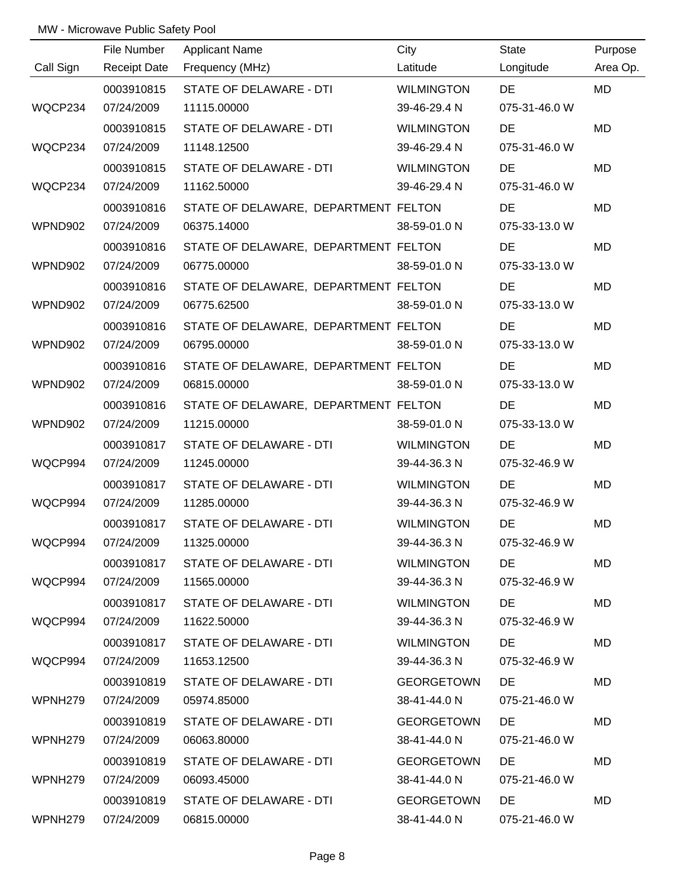|                     | File Number         | <b>Applicant Name</b>                | City              | State         | Purpose   |
|---------------------|---------------------|--------------------------------------|-------------------|---------------|-----------|
| Call Sign           | <b>Receipt Date</b> | Frequency (MHz)                      | Latitude          | Longitude     | Area Op.  |
|                     | 0003910815          | STATE OF DELAWARE - DTI              | <b>WILMINGTON</b> | <b>DE</b>     | <b>MD</b> |
| WQCP234             | 07/24/2009          | 11115.00000                          | 39-46-29.4 N      | 075-31-46.0 W |           |
|                     | 0003910815          | STATE OF DELAWARE - DTI              | <b>WILMINGTON</b> | <b>DE</b>     | <b>MD</b> |
| WQCP234             | 07/24/2009          | 11148.12500                          | 39-46-29.4 N      | 075-31-46.0 W |           |
|                     | 0003910815          | STATE OF DELAWARE - DTI              | <b>WILMINGTON</b> | <b>DE</b>     | MD        |
| WQCP234             | 07/24/2009          | 11162.50000                          | 39-46-29.4 N      | 075-31-46.0 W |           |
|                     | 0003910816          | STATE OF DELAWARE, DEPARTMENT FELTON |                   | <b>DE</b>     | <b>MD</b> |
| WPND902             | 07/24/2009          | 06375.14000                          | 38-59-01.0 N      | 075-33-13.0 W |           |
|                     | 0003910816          | STATE OF DELAWARE, DEPARTMENT FELTON |                   | <b>DE</b>     | MD        |
| WPND902             | 07/24/2009          | 06775.00000                          | 38-59-01.0 N      | 075-33-13.0 W |           |
|                     | 0003910816          | STATE OF DELAWARE, DEPARTMENT FELTON |                   | <b>DE</b>     | MD        |
| WPND902             | 07/24/2009          | 06775.62500                          | 38-59-01.0 N      | 075-33-13.0 W |           |
|                     | 0003910816          | STATE OF DELAWARE, DEPARTMENT FELTON |                   | <b>DE</b>     | MD        |
| WPND902             | 07/24/2009          | 06795.00000                          | 38-59-01.0 N      | 075-33-13.0 W |           |
|                     | 0003910816          | STATE OF DELAWARE, DEPARTMENT FELTON |                   | <b>DE</b>     | <b>MD</b> |
| WPND902             | 07/24/2009          | 06815.00000                          | 38-59-01.0 N      | 075-33-13.0 W |           |
|                     | 0003910816          | STATE OF DELAWARE, DEPARTMENT FELTON |                   | <b>DE</b>     | MD        |
| WPND902             | 07/24/2009          | 11215.00000                          | 38-59-01.0 N      | 075-33-13.0 W |           |
|                     | 0003910817          | STATE OF DELAWARE - DTI              | <b>WILMINGTON</b> | DE            | MD        |
| WQCP994             | 07/24/2009          | 11245.00000                          | 39-44-36.3 N      | 075-32-46.9 W |           |
|                     | 0003910817          | STATE OF DELAWARE - DTI              | <b>WILMINGTON</b> | DE            | MD        |
| WQCP994             | 07/24/2009          | 11285.00000                          | 39-44-36.3 N      | 075-32-46.9 W |           |
|                     | 0003910817          | STATE OF DELAWARE - DTI              | <b>WILMINGTON</b> | <b>DE</b>     | MD        |
| WQCP994             | 07/24/2009          | 11325.00000                          | 39-44-36.3 N      | 075-32-46.9 W |           |
|                     | 0003910817          | STATE OF DELAWARE - DTI              | <b>WILMINGTON</b> | DE.           | MD        |
| WQCP994             | 07/24/2009          | 11565.00000                          | 39-44-36.3 N      | 075-32-46.9 W |           |
|                     | 0003910817          | STATE OF DELAWARE - DTI              | <b>WILMINGTON</b> | DE            | MD        |
| WQCP994             | 07/24/2009          | 11622.50000                          | 39-44-36.3 N      | 075-32-46.9 W |           |
|                     | 0003910817          | STATE OF DELAWARE - DTI              | <b>WILMINGTON</b> | <b>DE</b>     | MD        |
| WQCP994             | 07/24/2009          | 11653.12500                          | 39-44-36.3 N      | 075-32-46.9 W |           |
|                     | 0003910819          | STATE OF DELAWARE - DTI              | <b>GEORGETOWN</b> | DE            | MD        |
| WPNH279             | 07/24/2009          | 05974.85000                          | 38-41-44.0 N      | 075-21-46.0 W |           |
|                     | 0003910819          | STATE OF DELAWARE - DTI              | <b>GEORGETOWN</b> | DE            | MD        |
| WPNH279             | 07/24/2009          | 06063.80000                          | 38-41-44.0 N      | 075-21-46.0 W |           |
|                     | 0003910819          | STATE OF DELAWARE - DTI              | <b>GEORGETOWN</b> | DE            | MD        |
| WPNH <sub>279</sub> | 07/24/2009          | 06093.45000                          | 38-41-44.0 N      | 075-21-46.0 W |           |
|                     | 0003910819          | STATE OF DELAWARE - DTI              | <b>GEORGETOWN</b> | <b>DE</b>     | MD        |
| WPNH279             | 07/24/2009          | 06815.00000                          | 38-41-44.0 N      | 075-21-46.0 W |           |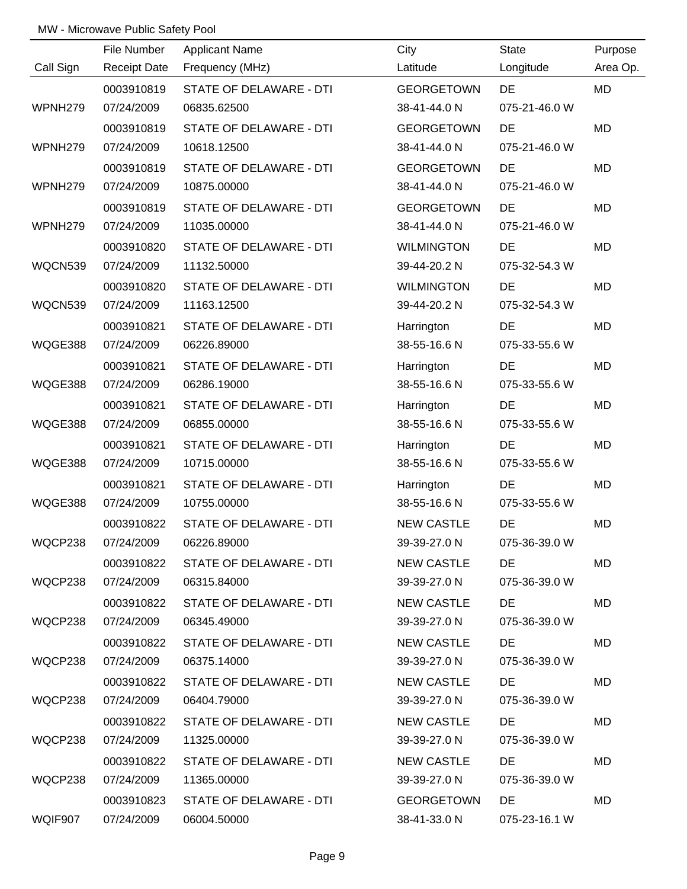|           | File Number         | <b>Applicant Name</b>   | City              | State         | Purpose   |
|-----------|---------------------|-------------------------|-------------------|---------------|-----------|
| Call Sign | <b>Receipt Date</b> | Frequency (MHz)         | Latitude          | Longitude     | Area Op.  |
|           | 0003910819          | STATE OF DELAWARE - DTI | <b>GEORGETOWN</b> | <b>DE</b>     | <b>MD</b> |
| WPNH279   | 07/24/2009          | 06835.62500             | 38-41-44.0 N      | 075-21-46.0 W |           |
|           | 0003910819          | STATE OF DELAWARE - DTI | <b>GEORGETOWN</b> | <b>DE</b>     | <b>MD</b> |
| WPNH279   | 07/24/2009          | 10618.12500             | 38-41-44.0 N      | 075-21-46.0 W |           |
|           | 0003910819          | STATE OF DELAWARE - DTI | <b>GEORGETOWN</b> | DE            | <b>MD</b> |
| WPNH279   | 07/24/2009          | 10875.00000             | 38-41-44.0 N      | 075-21-46.0 W |           |
|           | 0003910819          | STATE OF DELAWARE - DTI | <b>GEORGETOWN</b> | DE            | MD        |
| WPNH279   | 07/24/2009          | 11035.00000             | 38-41-44.0 N      | 075-21-46.0 W |           |
|           | 0003910820          | STATE OF DELAWARE - DTI | <b>WILMINGTON</b> | DE            | <b>MD</b> |
| WQCN539   | 07/24/2009          | 11132.50000             | 39-44-20.2 N      | 075-32-54.3 W |           |
|           | 0003910820          | STATE OF DELAWARE - DTI | <b>WILMINGTON</b> | <b>DE</b>     | MD        |
| WQCN539   | 07/24/2009          | 11163.12500             | 39-44-20.2 N      | 075-32-54.3 W |           |
|           | 0003910821          | STATE OF DELAWARE - DTI | Harrington        | DE            | <b>MD</b> |
| WQGE388   | 07/24/2009          | 06226.89000             | 38-55-16.6 N      | 075-33-55.6 W |           |
|           | 0003910821          | STATE OF DELAWARE - DTI | Harrington        | <b>DE</b>     | MD        |
| WQGE388   | 07/24/2009          | 06286.19000             | 38-55-16.6 N      | 075-33-55.6 W |           |
|           | 0003910821          | STATE OF DELAWARE - DTI | Harrington        | DE            | MD        |
| WQGE388   | 07/24/2009          | 06855.00000             | 38-55-16.6 N      | 075-33-55.6 W |           |
|           | 0003910821          | STATE OF DELAWARE - DTI | Harrington        | <b>DE</b>     | MD        |
| WQGE388   | 07/24/2009          | 10715.00000             | 38-55-16.6 N      | 075-33-55.6 W |           |
|           | 0003910821          | STATE OF DELAWARE - DTI | Harrington        | <b>DE</b>     | MD        |
| WQGE388   | 07/24/2009          | 10755.00000             | 38-55-16.6 N      | 075-33-55.6 W |           |
|           | 0003910822          | STATE OF DELAWARE - DTI | <b>NEW CASTLE</b> | DE            | MD        |
| WQCP238   | 07/24/2009          | 06226.89000             | 39-39-27.0 N      | 075-36-39.0 W |           |
|           | 0003910822          | STATE OF DELAWARE - DTI | <b>NEW CASTLE</b> | DE            | MD        |
| WQCP238   | 07/24/2009          | 06315.84000             | 39-39-27.0 N      | 075-36-39.0 W |           |
|           | 0003910822          | STATE OF DELAWARE - DTI | <b>NEW CASTLE</b> | DE            | MD.       |
| WQCP238   | 07/24/2009          | 06345.49000             | 39-39-27.0 N      | 075-36-39.0 W |           |
|           | 0003910822          | STATE OF DELAWARE - DTI | <b>NEW CASTLE</b> | DE            | MD        |
| WQCP238   | 07/24/2009          | 06375.14000             | 39-39-27.0 N      | 075-36-39.0 W |           |
|           | 0003910822          | STATE OF DELAWARE - DTI | <b>NEW CASTLE</b> | DE            | MD        |
| WQCP238   | 07/24/2009          | 06404.79000             | 39-39-27.0 N      | 075-36-39.0 W |           |
|           | 0003910822          | STATE OF DELAWARE - DTI | <b>NEW CASTLE</b> | DE            | MD        |
| WQCP238   | 07/24/2009          | 11325.00000             | 39-39-27.0 N      | 075-36-39.0 W |           |
|           | 0003910822          | STATE OF DELAWARE - DTI | <b>NEW CASTLE</b> | DE            | MD        |
| WQCP238   | 07/24/2009          | 11365.00000             | 39-39-27.0 N      | 075-36-39.0 W |           |
|           | 0003910823          | STATE OF DELAWARE - DTI | <b>GEORGETOWN</b> | DE            | MD        |
| WQIF907   | 07/24/2009          | 06004.50000             | 38-41-33.0 N      | 075-23-16.1 W |           |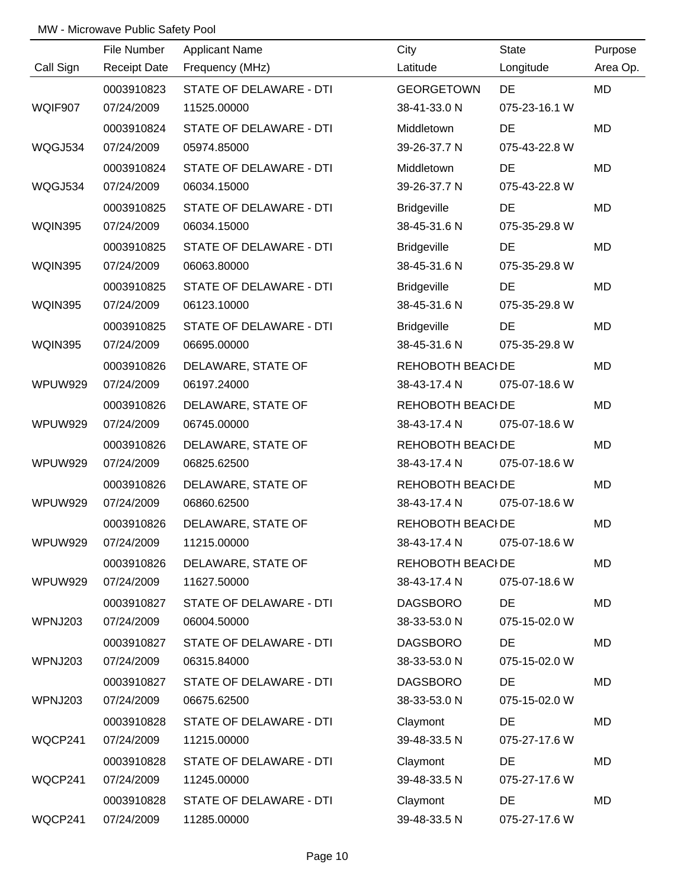|                | File Number         | <b>Applicant Name</b>   | City               | State         | Purpose   |
|----------------|---------------------|-------------------------|--------------------|---------------|-----------|
| Call Sign      | <b>Receipt Date</b> | Frequency (MHz)         | Latitude           | Longitude     | Area Op.  |
|                | 0003910823          | STATE OF DELAWARE - DTI | <b>GEORGETOWN</b>  | <b>DE</b>     | <b>MD</b> |
| WQIF907        | 07/24/2009          | 11525.00000             | 38-41-33.0 N       | 075-23-16.1 W |           |
|                | 0003910824          | STATE OF DELAWARE - DTI | Middletown         | DE            | <b>MD</b> |
| WQGJ534        | 07/24/2009          | 05974.85000             | 39-26-37.7 N       | 075-43-22.8 W |           |
|                | 0003910824          | STATE OF DELAWARE - DTI | Middletown         | DE            | MD        |
| WQGJ534        | 07/24/2009          | 06034.15000             | 39-26-37.7 N       | 075-43-22.8 W |           |
|                | 0003910825          | STATE OF DELAWARE - DTI | <b>Bridgeville</b> | <b>DE</b>     | MD        |
| WQIN395        | 07/24/2009          | 06034.15000             | 38-45-31.6 N       | 075-35-29.8 W |           |
|                | 0003910825          | STATE OF DELAWARE - DTI | <b>Bridgeville</b> | <b>DE</b>     | MD        |
| WQIN395        | 07/24/2009          | 06063.80000             | 38-45-31.6 N       | 075-35-29.8 W |           |
|                | 0003910825          | STATE OF DELAWARE - DTI | <b>Bridgeville</b> | <b>DE</b>     | MD        |
| WQIN395        | 07/24/2009          | 06123.10000             | 38-45-31.6 N       | 075-35-29.8 W |           |
|                | 0003910825          | STATE OF DELAWARE - DTI | <b>Bridgeville</b> | DE            | MD        |
| <b>WQIN395</b> | 07/24/2009          | 06695.00000             | 38-45-31.6 N       | 075-35-29.8 W |           |
|                | 0003910826          | DELAWARE, STATE OF      | REHOBOTH BEACI DE  |               | MD        |
| <b>WPUW929</b> | 07/24/2009          | 06197.24000             | 38-43-17.4 N       | 075-07-18.6 W |           |
|                | 0003910826          | DELAWARE, STATE OF      | REHOBOTH BEACI DE  |               | MD        |
| <b>WPUW929</b> | 07/24/2009          | 06745.00000             | 38-43-17.4 N       | 075-07-18.6 W |           |
|                | 0003910826          | DELAWARE, STATE OF      | REHOBOTH BEACI DE  |               | MD        |
| <b>WPUW929</b> | 07/24/2009          | 06825.62500             | 38-43-17.4 N       | 075-07-18.6 W |           |
|                | 0003910826          | DELAWARE, STATE OF      | REHOBOTH BEACI DE  |               | MD        |
| <b>WPUW929</b> | 07/24/2009          | 06860.62500             | 38-43-17.4 N       | 075-07-18.6 W |           |
|                | 0003910826          | DELAWARE, STATE OF      | REHOBOTH BEACI DE  |               | <b>MD</b> |
| WPUW929        | 07/24/2009          | 11215.00000             | 38-43-17.4 N       | 075-07-18.6 W |           |
|                | 0003910826          | DELAWARE, STATE OF      | REHOBOTH BEACI DE  |               | MD        |
| WPUW929        | 07/24/2009          | 11627.50000             | 38-43-17.4 N       | 075-07-18.6 W |           |
|                | 0003910827          | STATE OF DELAWARE - DTI | <b>DAGSBORO</b>    | DE            | MD        |
| WPNJ203        | 07/24/2009          | 06004.50000             | 38-33-53.0 N       | 075-15-02.0 W |           |
|                | 0003910827          | STATE OF DELAWARE - DTI | <b>DAGSBORO</b>    | DE            | MD        |
| WPNJ203        | 07/24/2009          | 06315.84000             | 38-33-53.0 N       | 075-15-02.0 W |           |
|                | 0003910827          | STATE OF DELAWARE - DTI | <b>DAGSBORO</b>    | <b>DE</b>     | MD        |
| WPNJ203        | 07/24/2009          | 06675.62500             | 38-33-53.0 N       | 075-15-02.0 W |           |
|                | 0003910828          | STATE OF DELAWARE - DTI | Claymont           | DE            | MD        |
| WQCP241        | 07/24/2009          | 11215.00000             | 39-48-33.5 N       | 075-27-17.6 W |           |
|                | 0003910828          | STATE OF DELAWARE - DTI | Claymont           | DE            | MD        |
| WQCP241        | 07/24/2009          | 11245.00000             | 39-48-33.5 N       | 075-27-17.6 W |           |
|                | 0003910828          | STATE OF DELAWARE - DTI | Claymont           | DE            | MD        |
| WQCP241        | 07/24/2009          | 11285.00000             | 39-48-33.5 N       | 075-27-17.6 W |           |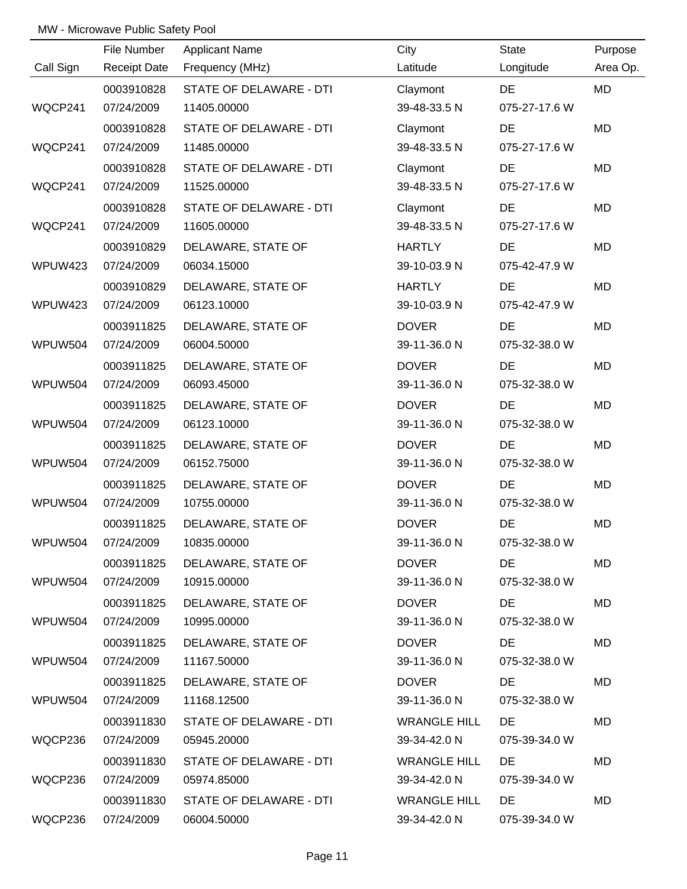|                | File Number         | <b>Applicant Name</b>   | City                | <b>State</b>  | Purpose   |
|----------------|---------------------|-------------------------|---------------------|---------------|-----------|
| Call Sign      | <b>Receipt Date</b> | Frequency (MHz)         | Latitude            | Longitude     | Area Op.  |
|                | 0003910828          | STATE OF DELAWARE - DTI | Claymont            | DE            | <b>MD</b> |
| WQCP241        | 07/24/2009          | 11405.00000             | 39-48-33.5 N        | 075-27-17.6 W |           |
|                | 0003910828          | STATE OF DELAWARE - DTI | Claymont            | DE            | <b>MD</b> |
| WQCP241        | 07/24/2009          | 11485.00000             | 39-48-33.5 N        | 075-27-17.6 W |           |
|                | 0003910828          | STATE OF DELAWARE - DTI | Claymont            | DE            | <b>MD</b> |
| WQCP241        | 07/24/2009          | 11525.00000             | 39-48-33.5 N        | 075-27-17.6 W |           |
|                | 0003910828          | STATE OF DELAWARE - DTI | Claymont            | DE            | MD        |
| WQCP241        | 07/24/2009          | 11605.00000             | 39-48-33.5 N        | 075-27-17.6 W |           |
|                | 0003910829          | DELAWARE, STATE OF      | <b>HARTLY</b>       | DE            | MD        |
| WPUW423        | 07/24/2009          | 06034.15000             | 39-10-03.9 N        | 075-42-47.9 W |           |
|                | 0003910829          | DELAWARE, STATE OF      | <b>HARTLY</b>       | <b>DE</b>     | MD        |
| WPUW423        | 07/24/2009          | 06123.10000             | 39-10-03.9 N        | 075-42-47.9 W |           |
|                | 0003911825          | DELAWARE, STATE OF      | <b>DOVER</b>        | DE            | MD        |
| <b>WPUW504</b> | 07/24/2009          | 06004.50000             | 39-11-36.0 N        | 075-32-38.0 W |           |
|                | 0003911825          | DELAWARE, STATE OF      | <b>DOVER</b>        | DE            | MD        |
| WPUW504        | 07/24/2009          | 06093.45000             | 39-11-36.0 N        | 075-32-38.0 W |           |
|                | 0003911825          | DELAWARE, STATE OF      | <b>DOVER</b>        | <b>DE</b>     | MD        |
| <b>WPUW504</b> | 07/24/2009          | 06123.10000             | 39-11-36.0 N        | 075-32-38.0 W |           |
|                | 0003911825          | DELAWARE, STATE OF      | <b>DOVER</b>        | DE            | MD        |
| <b>WPUW504</b> | 07/24/2009          | 06152.75000             | 39-11-36.0 N        | 075-32-38.0 W |           |
|                | 0003911825          | DELAWARE, STATE OF      | <b>DOVER</b>        | <b>DE</b>     | MD        |
| <b>WPUW504</b> | 07/24/2009          | 10755.00000             | 39-11-36.0 N        | 075-32-38.0 W |           |
|                | 0003911825          | DELAWARE, STATE OF      | <b>DOVER</b>        | DE            | MD        |
| <b>WPUW504</b> | 07/24/2009          | 10835.00000             | 39-11-36.0 N        | 075-32-38.0 W |           |
|                | 0003911825          | DELAWARE, STATE OF      | <b>DOVER</b>        | DE            | MD        |
| WPUW504        | 07/24/2009          | 10915.00000             | 39-11-36.0 N        | 075-32-38.0 W |           |
|                | 0003911825          | DELAWARE, STATE OF      | <b>DOVER</b>        | DE            | MD        |
| WPUW504        | 07/24/2009          | 10995.00000             | 39-11-36.0 N        | 075-32-38.0 W |           |
|                | 0003911825          | DELAWARE, STATE OF      | <b>DOVER</b>        | DE            | MD        |
| WPUW504        | 07/24/2009          | 11167.50000             | 39-11-36.0 N        | 075-32-38.0 W |           |
|                | 0003911825          | DELAWARE, STATE OF      | <b>DOVER</b>        | DE            | MD        |
| WPUW504        | 07/24/2009          | 11168.12500             | 39-11-36.0 N        | 075-32-38.0 W |           |
|                | 0003911830          | STATE OF DELAWARE - DTI | <b>WRANGLE HILL</b> | DE            | MD        |
| WQCP236        | 07/24/2009          | 05945.20000             | 39-34-42.0 N        | 075-39-34.0 W |           |
|                | 0003911830          | STATE OF DELAWARE - DTI | <b>WRANGLE HILL</b> | DE            | MD        |
| WQCP236        | 07/24/2009          | 05974.85000             | 39-34-42.0 N        | 075-39-34.0 W |           |
|                | 0003911830          | STATE OF DELAWARE - DTI | <b>WRANGLE HILL</b> | DE            | MD        |
| WQCP236        | 07/24/2009          | 06004.50000             | 39-34-42.0 N        | 075-39-34.0 W |           |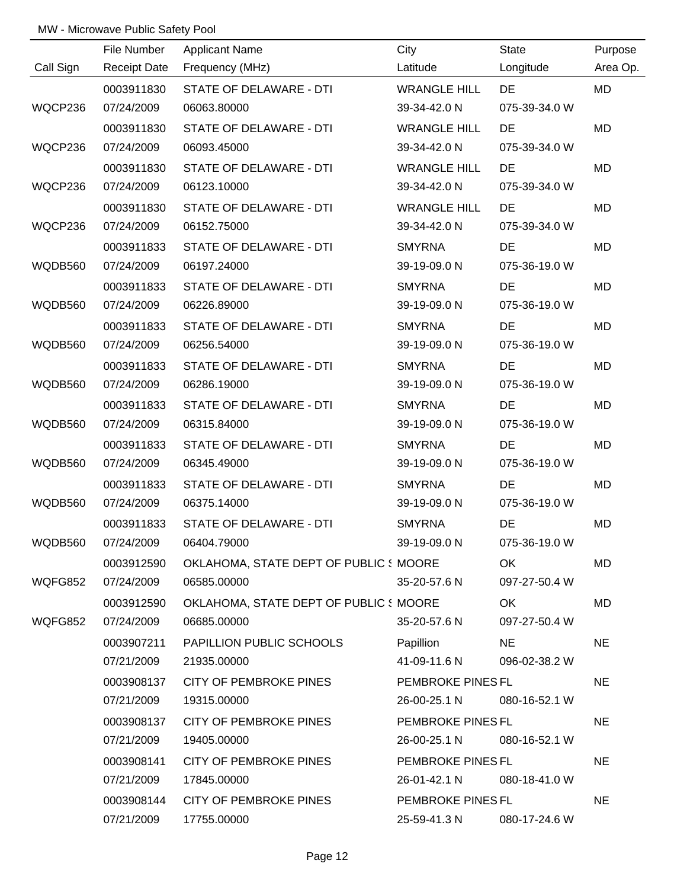|           | File Number         | <b>Applicant Name</b>                 | City                | <b>State</b>  | Purpose   |
|-----------|---------------------|---------------------------------------|---------------------|---------------|-----------|
| Call Sign | <b>Receipt Date</b> | Frequency (MHz)                       | Latitude            | Longitude     | Area Op.  |
|           | 0003911830          | STATE OF DELAWARE - DTI               | <b>WRANGLE HILL</b> | <b>DE</b>     | <b>MD</b> |
| WQCP236   | 07/24/2009          | 06063.80000                           | 39-34-42.0 N        | 075-39-34.0 W |           |
|           | 0003911830          | STATE OF DELAWARE - DTI               | <b>WRANGLE HILL</b> | DE            | <b>MD</b> |
| WQCP236   | 07/24/2009          | 06093.45000                           | 39-34-42.0 N        | 075-39-34.0 W |           |
|           | 0003911830          | <b>STATE OF DELAWARE - DTI</b>        | <b>WRANGLE HILL</b> | DE            | <b>MD</b> |
| WQCP236   | 07/24/2009          | 06123.10000                           | 39-34-42.0 N        | 075-39-34.0 W |           |
|           | 0003911830          | STATE OF DELAWARE - DTI               | <b>WRANGLE HILL</b> | DE            | <b>MD</b> |
| WQCP236   | 07/24/2009          | 06152.75000                           | 39-34-42.0 N        | 075-39-34.0 W |           |
|           | 0003911833          | STATE OF DELAWARE - DTI               | <b>SMYRNA</b>       | DE            | <b>MD</b> |
| WQDB560   | 07/24/2009          | 06197.24000                           | 39-19-09.0 N        | 075-36-19.0 W |           |
|           | 0003911833          | STATE OF DELAWARE - DTI               | <b>SMYRNA</b>       | DE            | <b>MD</b> |
| WQDB560   | 07/24/2009          | 06226.89000                           | 39-19-09.0 N        | 075-36-19.0 W |           |
|           | 0003911833          | STATE OF DELAWARE - DTI               | <b>SMYRNA</b>       | DE            | <b>MD</b> |
| WQDB560   | 07/24/2009          | 06256.54000                           | 39-19-09.0 N        | 075-36-19.0 W |           |
|           | 0003911833          | STATE OF DELAWARE - DTI               | <b>SMYRNA</b>       | DE            | <b>MD</b> |
| WQDB560   | 07/24/2009          | 06286.19000                           | 39-19-09.0 N        | 075-36-19.0 W |           |
|           | 0003911833          | STATE OF DELAWARE - DTI               | <b>SMYRNA</b>       | DE            | <b>MD</b> |
| WQDB560   | 07/24/2009          | 06315.84000                           | 39-19-09.0 N        | 075-36-19.0 W |           |
|           | 0003911833          | STATE OF DELAWARE - DTI               | <b>SMYRNA</b>       | DE            | <b>MD</b> |
| WQDB560   | 07/24/2009          | 06345.49000                           | 39-19-09.0 N        | 075-36-19.0 W |           |
|           | 0003911833          | <b>STATE OF DELAWARE - DTI</b>        | <b>SMYRNA</b>       | DE            | <b>MD</b> |
| WQDB560   | 07/24/2009          | 06375.14000                           | 39-19-09.0 N        | 075-36-19.0 W |           |
|           | 0003911833          | STATE OF DELAWARE - DTI               | <b>SMYRNA</b>       | DE            | MD        |
| WQDB560   | 07/24/2009          | 06404.79000                           | 39-19-09.0 N        | 075-36-19.0 W |           |
|           | 0003912590          | OKLAHOMA, STATE DEPT OF PUBLIC (MOORE |                     | OK            | MD        |
| WQFG852   | 07/24/2009          | 06585.00000                           | 35-20-57.6 N        | 097-27-50.4 W |           |
|           | 0003912590          | OKLAHOMA, STATE DEPT OF PUBLIC (MOORE |                     | OK            | <b>MD</b> |
| WQFG852   | 07/24/2009          | 06685.00000                           | 35-20-57.6 N        | 097-27-50.4 W |           |
|           | 0003907211          | <b>PAPILLION PUBLIC SCHOOLS</b>       | Papillion           | NE            | <b>NE</b> |
|           | 07/21/2009          | 21935.00000                           | 41-09-11.6 N        | 096-02-38.2 W |           |
|           | 0003908137          | CITY OF PEMBROKE PINES                | PEMBROKE PINES FL   |               | <b>NE</b> |
|           | 07/21/2009          | 19315.00000                           | 26-00-25.1 N        | 080-16-52.1 W |           |
|           | 0003908137          | CITY OF PEMBROKE PINES                | PEMBROKE PINES FL   |               | <b>NE</b> |
|           | 07/21/2009          | 19405.00000                           | 26-00-25.1 N        | 080-16-52.1 W |           |
|           | 0003908141          | CITY OF PEMBROKE PINES                | PEMBROKE PINES FL   |               | <b>NE</b> |
|           | 07/21/2009          | 17845.00000                           | 26-01-42.1 N        | 080-18-41.0 W |           |
|           | 0003908144          | CITY OF PEMBROKE PINES                | PEMBROKE PINES FL   |               | <b>NE</b> |
|           | 07/21/2009          | 17755.00000                           | 25-59-41.3 N        | 080-17-24.6 W |           |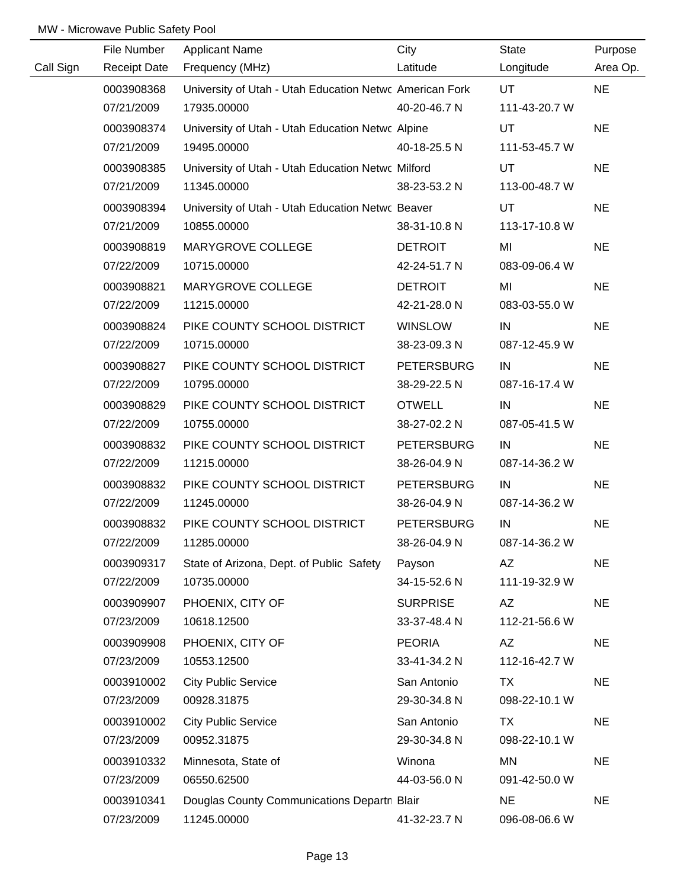|           | File Number         | <b>Applicant Name</b>                                   | City              | <b>State</b>  | Purpose   |
|-----------|---------------------|---------------------------------------------------------|-------------------|---------------|-----------|
| Call Sign | <b>Receipt Date</b> | Frequency (MHz)                                         | Latitude          | Longitude     | Area Op.  |
|           | 0003908368          | University of Utah - Utah Education Netwo American Fork |                   | UT            | <b>NE</b> |
|           | 07/21/2009          | 17935.00000                                             | 40-20-46.7 N      | 111-43-20.7 W |           |
|           | 0003908374          | University of Utah - Utah Education Netwo Alpine        |                   | UT            | <b>NE</b> |
|           | 07/21/2009          | 19495.00000                                             | 40-18-25.5 N      | 111-53-45.7 W |           |
|           | 0003908385          | University of Utah - Utah Education Netwo Milford       |                   | UT            | <b>NE</b> |
|           | 07/21/2009          | 11345.00000                                             | 38-23-53.2 N      | 113-00-48.7 W |           |
|           | 0003908394          | University of Utah - Utah Education Netwo Beaver        |                   | UT            | <b>NE</b> |
|           | 07/21/2009          | 10855.00000                                             | 38-31-10.8 N      | 113-17-10.8 W |           |
|           | 0003908819          | MARYGROVE COLLEGE                                       | <b>DETROIT</b>    | MI            | <b>NE</b> |
|           | 07/22/2009          | 10715.00000                                             | 42-24-51.7 N      | 083-09-06.4 W |           |
|           | 0003908821          | MARYGROVE COLLEGE                                       | <b>DETROIT</b>    | MI            | <b>NE</b> |
|           | 07/22/2009          | 11215.00000                                             | 42-21-28.0 N      | 083-03-55.0 W |           |
|           | 0003908824          | PIKE COUNTY SCHOOL DISTRICT                             | <b>WINSLOW</b>    | IN            | <b>NE</b> |
|           | 07/22/2009          | 10715.00000                                             | 38-23-09.3 N      | 087-12-45.9 W |           |
|           | 0003908827          | PIKE COUNTY SCHOOL DISTRICT                             | <b>PETERSBURG</b> | IN            | <b>NE</b> |
|           | 07/22/2009          | 10795.00000                                             | 38-29-22.5 N      | 087-16-17.4 W |           |
|           | 0003908829          | PIKE COUNTY SCHOOL DISTRICT                             | <b>OTWELL</b>     | IN            | <b>NE</b> |
|           | 07/22/2009          | 10755.00000                                             | 38-27-02.2 N      | 087-05-41.5 W |           |
|           | 0003908832          | PIKE COUNTY SCHOOL DISTRICT                             | <b>PETERSBURG</b> | IN            | <b>NE</b> |
|           | 07/22/2009          | 11215.00000                                             | 38-26-04.9 N      | 087-14-36.2 W |           |
|           | 0003908832          | PIKE COUNTY SCHOOL DISTRICT                             | <b>PETERSBURG</b> | IN            | <b>NE</b> |
|           | 07/22/2009          | 11245.00000                                             | 38-26-04.9 N      | 087-14-36.2 W |           |
|           | 0003908832          | PIKE COUNTY SCHOOL DISTRICT                             | <b>PETERSBURG</b> | IN            | <b>NE</b> |
|           | 07/22/2009          | 11285.00000                                             | 38-26-04.9 N      | 087-14-36.2 W |           |
|           | 0003909317          | State of Arizona, Dept. of Public Safety                | Payson            | AZ            | <b>NE</b> |
|           | 07/22/2009          | 10735.00000                                             | 34-15-52.6 N      | 111-19-32.9 W |           |
|           | 0003909907          | PHOENIX, CITY OF                                        | <b>SURPRISE</b>   | AZ            | <b>NE</b> |
|           | 07/23/2009          | 10618.12500                                             | 33-37-48.4 N      | 112-21-56.6 W |           |
|           | 0003909908          | PHOENIX, CITY OF                                        | <b>PEORIA</b>     | AZ            | <b>NE</b> |
|           | 07/23/2009          | 10553.12500                                             | 33-41-34.2 N      | 112-16-42.7 W |           |
|           | 0003910002          | <b>City Public Service</b>                              | San Antonio       | <b>TX</b>     | <b>NE</b> |
|           | 07/23/2009          | 00928.31875                                             | 29-30-34.8 N      | 098-22-10.1 W |           |
|           | 0003910002          | <b>City Public Service</b>                              | San Antonio       | <b>TX</b>     | <b>NE</b> |
|           | 07/23/2009          | 00952.31875                                             | 29-30-34.8 N      | 098-22-10.1 W |           |
|           | 0003910332          | Minnesota, State of                                     | Winona            | MN            | <b>NE</b> |
|           | 07/23/2009          | 06550.62500                                             | 44-03-56.0 N      | 091-42-50.0 W |           |
|           | 0003910341          | Douglas County Communications Departn Blair             |                   | <b>NE</b>     | <b>NE</b> |
|           | 07/23/2009          | 11245.00000                                             | 41-32-23.7 N      | 096-08-06.6 W |           |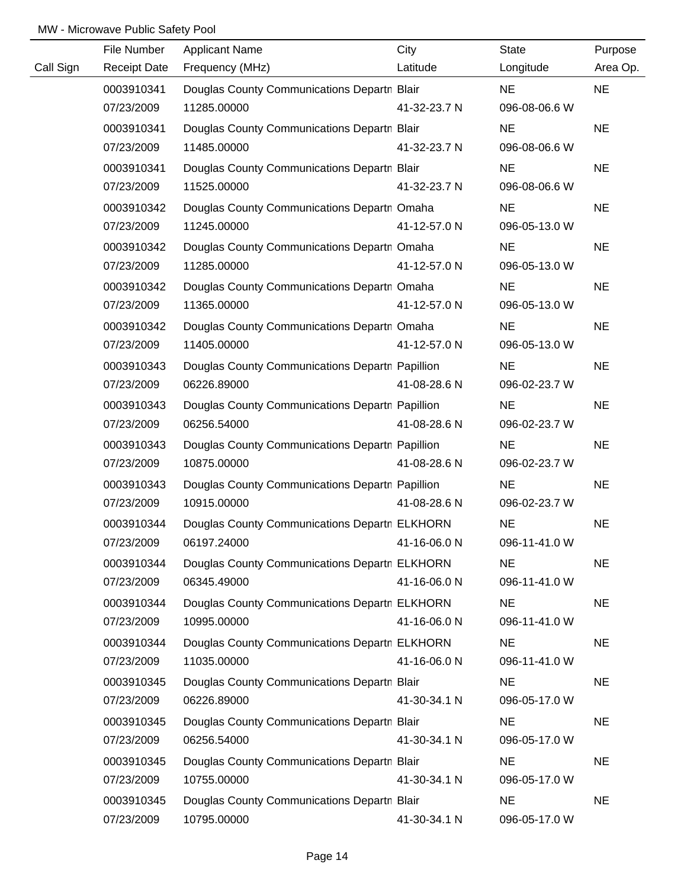|           | File Number         | <b>Applicant Name</b>                           | City         | <b>State</b>  | Purpose   |
|-----------|---------------------|-------------------------------------------------|--------------|---------------|-----------|
| Call Sign | <b>Receipt Date</b> | Frequency (MHz)                                 | Latitude     | Longitude     | Area Op.  |
|           | 0003910341          | Douglas County Communications Departn Blair     |              | <b>NE</b>     | <b>NE</b> |
|           | 07/23/2009          | 11285.00000                                     | 41-32-23.7 N | 096-08-06.6 W |           |
|           | 0003910341          | Douglas County Communications Departn Blair     |              | <b>NE</b>     | <b>NE</b> |
|           | 07/23/2009          | 11485.00000                                     | 41-32-23.7 N | 096-08-06.6 W |           |
|           | 0003910341          | Douglas County Communications Departn Blair     |              | <b>NE</b>     | <b>NE</b> |
|           | 07/23/2009          | 11525.00000                                     | 41-32-23.7 N | 096-08-06.6 W |           |
|           | 0003910342          | Douglas County Communications Departn Omaha     |              | <b>NE</b>     | <b>NE</b> |
|           | 07/23/2009          | 11245.00000                                     | 41-12-57.0 N | 096-05-13.0 W |           |
|           | 0003910342          | Douglas County Communications Departn Omaha     |              | <b>NE</b>     | <b>NE</b> |
|           | 07/23/2009          | 11285.00000                                     | 41-12-57.0 N | 096-05-13.0 W |           |
|           | 0003910342          | Douglas County Communications Departn Omaha     |              | <b>NE</b>     | <b>NE</b> |
|           | 07/23/2009          | 11365.00000                                     | 41-12-57.0 N | 096-05-13.0 W |           |
|           | 0003910342          | Douglas County Communications Departn Omaha     |              | <b>NE</b>     | <b>NE</b> |
|           | 07/23/2009          | 11405.00000                                     | 41-12-57.0 N | 096-05-13.0 W |           |
|           | 0003910343          | Douglas County Communications Departn Papillion |              | <b>NE</b>     | <b>NE</b> |
|           | 07/23/2009          | 06226.89000                                     | 41-08-28.6 N | 096-02-23.7 W |           |
|           | 0003910343          | Douglas County Communications Departn Papillion |              | <b>NE</b>     | <b>NE</b> |
|           | 07/23/2009          | 06256.54000                                     | 41-08-28.6 N | 096-02-23.7 W |           |
|           | 0003910343          | Douglas County Communications Departn Papillion |              | <b>NE</b>     | <b>NE</b> |
|           | 07/23/2009          | 10875.00000                                     | 41-08-28.6 N | 096-02-23.7 W |           |
|           | 0003910343          | Douglas County Communications Departn Papillion |              | <b>NE</b>     | <b>NE</b> |
|           | 07/23/2009          | 10915.00000                                     | 41-08-28.6 N | 096-02-23.7 W |           |
|           | 0003910344          | Douglas County Communications Departn ELKHORN   |              | <b>NE</b>     | <b>NE</b> |
|           | 07/23/2009          | 06197.24000                                     | 41-16-06.0 N | 096-11-41.0 W |           |
|           | 0003910344          | Douglas County Communications Departn ELKHORN   |              | <b>NE</b>     | <b>NE</b> |
|           | 07/23/2009          | 06345.49000                                     | 41-16-06.0 N | 096-11-41.0 W |           |
|           | 0003910344          | Douglas County Communications Departn ELKHORN   |              | <b>NE</b>     | <b>NE</b> |
|           | 07/23/2009          | 10995.00000                                     | 41-16-06.0 N | 096-11-41.0 W |           |
|           | 0003910344          | Douglas County Communications Departn ELKHORN   |              | <b>NE</b>     | <b>NE</b> |
|           | 07/23/2009          | 11035.00000                                     | 41-16-06.0 N | 096-11-41.0 W |           |
|           | 0003910345          | Douglas County Communications Departn Blair     |              | <b>NE</b>     | <b>NE</b> |
|           | 07/23/2009          | 06226.89000                                     | 41-30-34.1 N | 096-05-17.0 W |           |
|           | 0003910345          | Douglas County Communications Departn Blair     |              | <b>NE</b>     | <b>NE</b> |
|           | 07/23/2009          | 06256.54000                                     | 41-30-34.1 N | 096-05-17.0 W |           |
|           | 0003910345          | Douglas County Communications Departn Blair     |              | <b>NE</b>     | <b>NE</b> |
|           | 07/23/2009          | 10755.00000                                     | 41-30-34.1 N | 096-05-17.0 W |           |
|           | 0003910345          | Douglas County Communications Departn Blair     |              | <b>NE</b>     | <b>NE</b> |
|           | 07/23/2009          | 10795.00000                                     | 41-30-34.1 N | 096-05-17.0 W |           |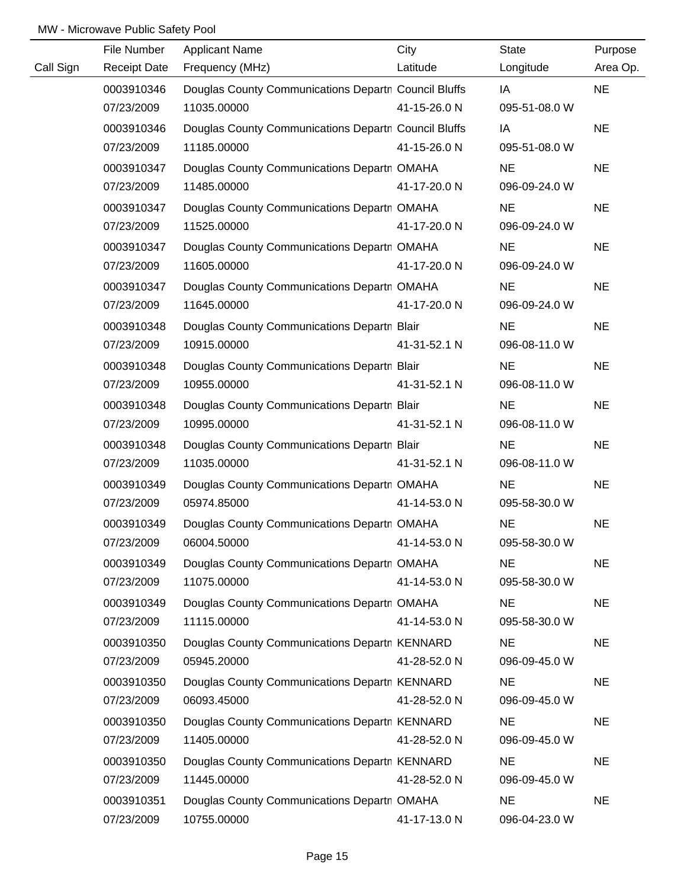|           | File Number         | <b>Applicant Name</b>                                | City         | State         | Purpose   |
|-----------|---------------------|------------------------------------------------------|--------------|---------------|-----------|
| Call Sign | <b>Receipt Date</b> | Frequency (MHz)                                      | Latitude     | Longitude     | Area Op.  |
|           | 0003910346          | Douglas County Communications Departn Council Bluffs |              | IA            | <b>NE</b> |
|           | 07/23/2009          | 11035.00000                                          | 41-15-26.0 N | 095-51-08.0 W |           |
|           | 0003910346          | Douglas County Communications Departn Council Bluffs |              | IA            | <b>NE</b> |
|           | 07/23/2009          | 11185.00000                                          | 41-15-26.0 N | 095-51-08.0 W |           |
|           | 0003910347          | Douglas County Communications Departn OMAHA          |              | <b>NE</b>     | <b>NE</b> |
|           | 07/23/2009          | 11485.00000                                          | 41-17-20.0 N | 096-09-24.0 W |           |
|           | 0003910347          | Douglas County Communications Departn OMAHA          |              | <b>NE</b>     | <b>NE</b> |
|           | 07/23/2009          | 11525.00000                                          | 41-17-20.0 N | 096-09-24.0 W |           |
|           | 0003910347          | Douglas County Communications Departn OMAHA          |              | <b>NE</b>     | <b>NE</b> |
|           | 07/23/2009          | 11605.00000                                          | 41-17-20.0 N | 096-09-24.0 W |           |
|           | 0003910347          | Douglas County Communications Departn OMAHA          |              | <b>NE</b>     | <b>NE</b> |
|           | 07/23/2009          | 11645.00000                                          | 41-17-20.0 N | 096-09-24.0 W |           |
|           | 0003910348          | Douglas County Communications Departn Blair          |              | <b>NE</b>     | <b>NE</b> |
|           | 07/23/2009          | 10915.00000                                          | 41-31-52.1 N | 096-08-11.0 W |           |
|           | 0003910348          | Douglas County Communications Departn Blair          |              | <b>NE</b>     | <b>NE</b> |
|           | 07/23/2009          | 10955.00000                                          | 41-31-52.1 N | 096-08-11.0 W |           |
|           | 0003910348          | Douglas County Communications Departn Blair          |              | <b>NE</b>     | <b>NE</b> |
|           | 07/23/2009          | 10995.00000                                          | 41-31-52.1 N | 096-08-11.0 W |           |
|           | 0003910348          | Douglas County Communications Departn Blair          |              | <b>NE</b>     | <b>NE</b> |
|           | 07/23/2009          | 11035.00000                                          | 41-31-52.1 N | 096-08-11.0 W |           |
|           | 0003910349          | Douglas County Communications Departn OMAHA          |              | <b>NE</b>     | <b>NE</b> |
|           | 07/23/2009          | 05974.85000                                          | 41-14-53.0 N | 095-58-30.0 W |           |
|           | 0003910349          | Douglas County Communications Departn OMAHA          |              | <b>NE</b>     | <b>NE</b> |
|           | 07/23/2009          | 06004.50000                                          | 41-14-53.0 N | 095-58-30.0 W |           |
|           | 0003910349          | Douglas County Communications Departn OMAHA          |              | <b>NE</b>     | <b>NE</b> |
|           | 07/23/2009          | 11075.00000                                          | 41-14-53.0 N | 095-58-30.0 W |           |
|           | 0003910349          | Douglas County Communications Departn OMAHA          |              | <b>NE</b>     | <b>NE</b> |
|           | 07/23/2009          | 11115.00000                                          | 41-14-53.0 N | 095-58-30.0 W |           |
|           | 0003910350          | Douglas County Communications Departn KENNARD        |              | <b>NE</b>     | <b>NE</b> |
|           | 07/23/2009          | 05945.20000                                          | 41-28-52.0 N | 096-09-45.0 W |           |
|           | 0003910350          | Douglas County Communications Departn KENNARD        |              | <b>NE</b>     | <b>NE</b> |
|           | 07/23/2009          | 06093.45000                                          | 41-28-52.0 N | 096-09-45.0 W |           |
|           | 0003910350          | Douglas County Communications Departn KENNARD        |              | <b>NE</b>     | <b>NE</b> |
|           | 07/23/2009          | 11405.00000                                          | 41-28-52.0 N | 096-09-45.0 W |           |
|           | 0003910350          | Douglas County Communications Departn KENNARD        |              | <b>NE</b>     | <b>NE</b> |
|           | 07/23/2009          | 11445.00000                                          | 41-28-52.0 N | 096-09-45.0 W |           |
|           | 0003910351          | Douglas County Communications Departr OMAHA          |              | <b>NE</b>     | <b>NE</b> |
|           | 07/23/2009          | 10755.00000                                          | 41-17-13.0 N | 096-04-23.0 W |           |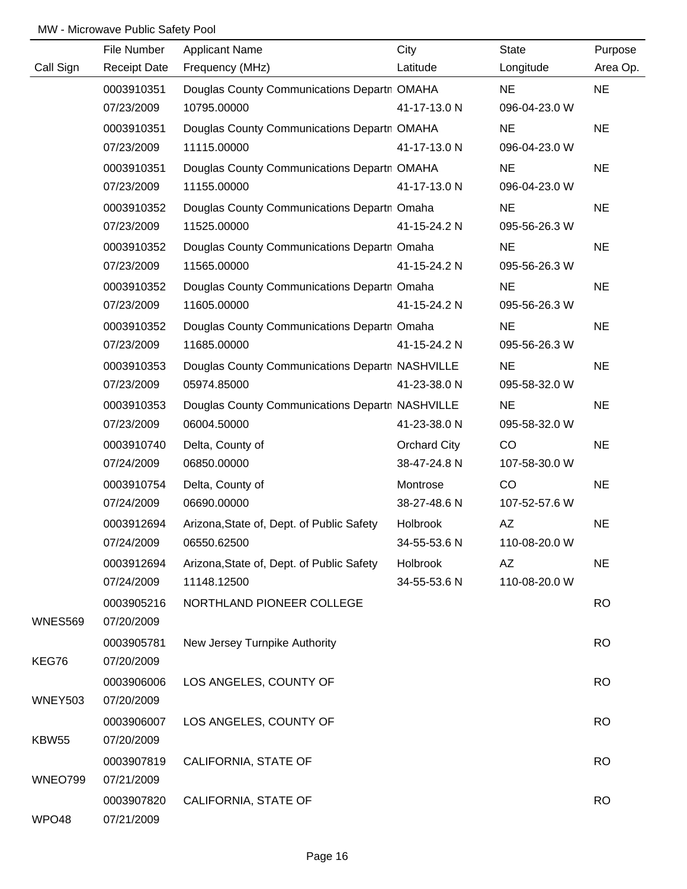|                | File Number         | <b>Applicant Name</b>                           | City         | <b>State</b>  | Purpose   |
|----------------|---------------------|-------------------------------------------------|--------------|---------------|-----------|
| Call Sign      | <b>Receipt Date</b> | Frequency (MHz)                                 | Latitude     | Longitude     | Area Op.  |
|                | 0003910351          | Douglas County Communications Departn OMAHA     |              | <b>NE</b>     | <b>NE</b> |
|                | 07/23/2009          | 10795.00000                                     | 41-17-13.0 N | 096-04-23.0 W |           |
|                | 0003910351          | Douglas County Communications Departn OMAHA     |              | <b>NE</b>     | <b>NE</b> |
|                | 07/23/2009          | 11115.00000                                     | 41-17-13.0 N | 096-04-23.0 W |           |
|                | 0003910351          | Douglas County Communications Departn OMAHA     |              | <b>NE</b>     | <b>NE</b> |
|                | 07/23/2009          | 11155.00000                                     | 41-17-13.0 N | 096-04-23.0 W |           |
|                | 0003910352          | Douglas County Communications Departn Omaha     |              | <b>NE</b>     | <b>NE</b> |
|                | 07/23/2009          | 11525.00000                                     | 41-15-24.2 N | 095-56-26.3 W |           |
|                | 0003910352          | Douglas County Communications Departn Omaha     |              | <b>NE</b>     | <b>NE</b> |
|                | 07/23/2009          | 11565.00000                                     | 41-15-24.2 N | 095-56-26.3 W |           |
|                | 0003910352          | Douglas County Communications Departn Omaha     |              | <b>NE</b>     | <b>NE</b> |
|                | 07/23/2009          | 11605.00000                                     | 41-15-24.2 N | 095-56-26.3 W |           |
|                | 0003910352          | Douglas County Communications Departn Omaha     |              | <b>NE</b>     | <b>NE</b> |
|                | 07/23/2009          | 11685.00000                                     | 41-15-24.2 N | 095-56-26.3 W |           |
|                | 0003910353          | Douglas County Communications Departn NASHVILLE |              | <b>NE</b>     | <b>NE</b> |
|                | 07/23/2009          | 05974.85000                                     | 41-23-38.0 N | 095-58-32.0 W |           |
|                | 0003910353          | Douglas County Communications Departn NASHVILLE |              | <b>NE</b>     | <b>NE</b> |
|                | 07/23/2009          | 06004.50000                                     | 41-23-38.0 N | 095-58-32.0 W |           |
|                | 0003910740          | Delta, County of                                | Orchard City | CO            | <b>NE</b> |
|                | 07/24/2009          | 06850.00000                                     | 38-47-24.8 N | 107-58-30.0 W |           |
|                | 0003910754          | Delta, County of                                | Montrose     | CO            | <b>NE</b> |
|                | 07/24/2009          | 06690.00000                                     | 38-27-48.6 N | 107-52-57.6 W |           |
|                | 0003912694          | Arizona, State of, Dept. of Public Safety       | Holbrook     | AZ            | <b>NE</b> |
|                | 07/24/2009          | 06550.62500                                     | 34-55-53.6 N | 110-08-20.0 W |           |
|                | 0003912694          | Arizona, State of, Dept. of Public Safety       | Holbrook     | ΑZ            | <b>NE</b> |
|                | 07/24/2009          | 11148.12500                                     | 34-55-53.6 N | 110-08-20.0 W |           |
|                | 0003905216          | NORTHLAND PIONEER COLLEGE                       |              |               | <b>RO</b> |
| <b>WNES569</b> | 07/20/2009          |                                                 |              |               |           |
|                | 0003905781          | New Jersey Turnpike Authority                   |              |               | <b>RO</b> |
| KEG76          | 07/20/2009          |                                                 |              |               |           |
|                | 0003906006          | LOS ANGELES, COUNTY OF                          |              |               | <b>RO</b> |
| <b>WNEY503</b> | 07/20/2009          |                                                 |              |               |           |
|                | 0003906007          | LOS ANGELES, COUNTY OF                          |              |               | <b>RO</b> |
| <b>KBW55</b>   | 07/20/2009          |                                                 |              |               |           |
|                | 0003907819          | CALIFORNIA, STATE OF                            |              |               | <b>RO</b> |
| WNEO799        | 07/21/2009          |                                                 |              |               |           |
|                | 0003907820          | CALIFORNIA, STATE OF                            |              |               | <b>RO</b> |
| WPO48          | 07/21/2009          |                                                 |              |               |           |